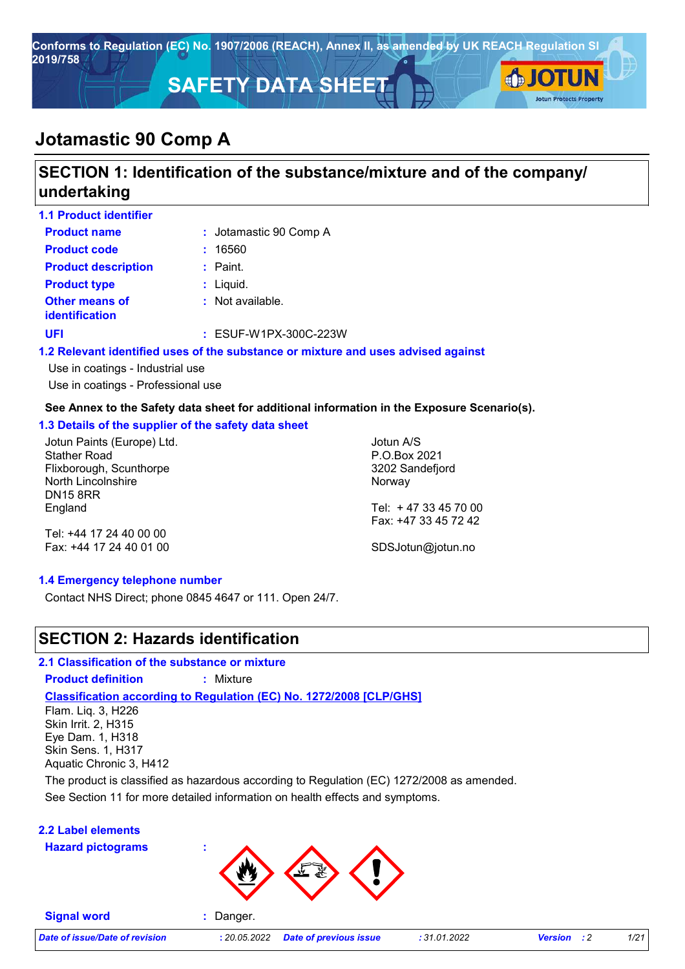

# **SECTION 1: Identification of the substance/mixture and of the company/ undertaking**

| <b>1.1 Product identifier</b>                  |                                                                                   |
|------------------------------------------------|-----------------------------------------------------------------------------------|
| <b>Product name</b>                            | : Jotamastic 90 Comp A                                                            |
| <b>Product code</b>                            | 16560                                                                             |
| <b>Product description</b>                     | $:$ Paint.                                                                        |
| <b>Product type</b>                            | $:$ Liquid.                                                                       |
| <b>Other means of</b><br><i>identification</i> | : Not available.                                                                  |
| UFI                                            | $:$ ESUF-W1PX-300C-223W                                                           |
|                                                | 1.2 Relevant identified uses of the substance or mixture and uses advised against |
| Use in coatings - Industrial use               |                                                                                   |

Use in coatings - Professional use

#### **See Annex to the Safety data sheet for additional information in the Exposure Scenario(s).**

#### **1.3 Details of the supplier of the safety data sheet**

Jotun Paints (Europe) Ltd. Stather Road Flixborough, Scunthorpe North Lincolnshire DN15 8RR England

Jotun A/S P.O.Box 2021 3202 Sandefjord Norway Tel: + 47 33 45 70 00

Tel: +44 17 24 40 00 00 Fax: +44 17 24 40 01 00 Fax: +47 33 45 72 42 SDSJotun@jotun.no

#### **1.4 Emergency telephone number**

Contact NHS Direct; phone 0845 4647 or 111. Open 24/7.

### **SECTION 2: Hazards identification**

**2.1 Classification of the substance or mixture**

**Product definition :** Mixture

**Classification according to Regulation (EC) No. 1272/2008 [CLP/GHS]**

Flam. Liq. 3, H226 Skin Irrit. 2, H315 Eye Dam. 1, H318 Skin Sens. 1, H317 Aquatic Chronic 3, H412

See Section 11 for more detailed information on health effects and symptoms. The product is classified as hazardous according to Regulation (EC) 1272/2008 as amended.

#### **2.2 Label elements**

**Hazard pictograms :**

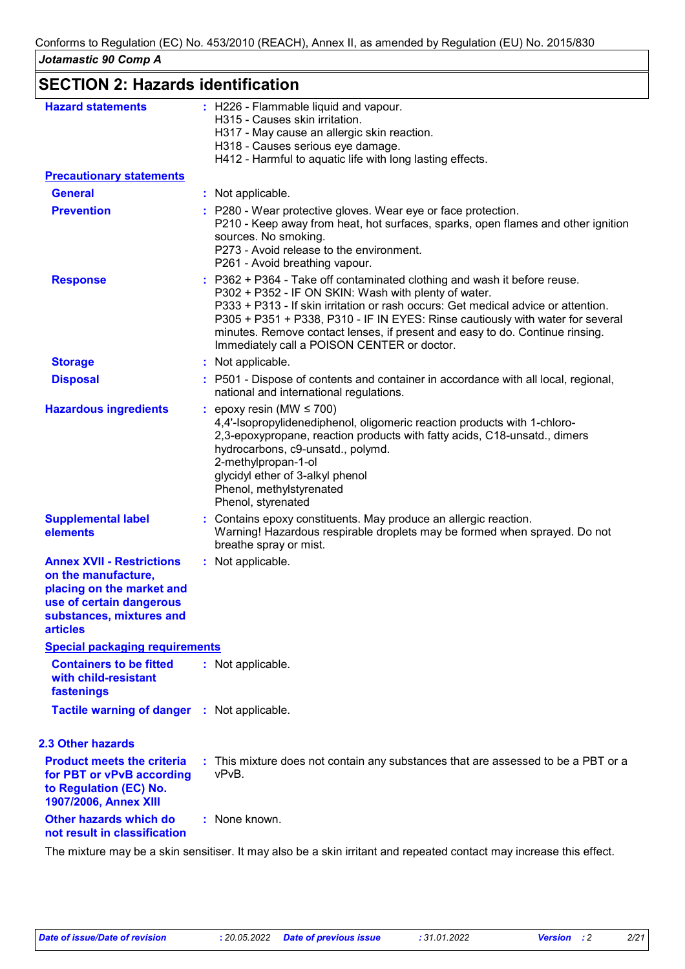| <b>SECTION 2: Hazards identification</b>                                                                                                                        |                                                                                                                                                                                                                                                                                                                                                                                                                                        |
|-----------------------------------------------------------------------------------------------------------------------------------------------------------------|----------------------------------------------------------------------------------------------------------------------------------------------------------------------------------------------------------------------------------------------------------------------------------------------------------------------------------------------------------------------------------------------------------------------------------------|
| <b>Hazard statements</b>                                                                                                                                        | : H226 - Flammable liquid and vapour.<br>H315 - Causes skin irritation.<br>H317 - May cause an allergic skin reaction.<br>H318 - Causes serious eye damage.<br>H412 - Harmful to aquatic life with long lasting effects.                                                                                                                                                                                                               |
| <b>Precautionary statements</b>                                                                                                                                 |                                                                                                                                                                                                                                                                                                                                                                                                                                        |
| <b>General</b>                                                                                                                                                  | : Not applicable.                                                                                                                                                                                                                                                                                                                                                                                                                      |
| <b>Prevention</b>                                                                                                                                               | : P280 - Wear protective gloves. Wear eye or face protection.<br>P210 - Keep away from heat, hot surfaces, sparks, open flames and other ignition<br>sources. No smoking.<br>P273 - Avoid release to the environment.<br>P261 - Avoid breathing vapour.                                                                                                                                                                                |
| <b>Response</b>                                                                                                                                                 | : P362 + P364 - Take off contaminated clothing and wash it before reuse.<br>P302 + P352 - IF ON SKIN: Wash with plenty of water.<br>P333 + P313 - If skin irritation or rash occurs: Get medical advice or attention.<br>P305 + P351 + P338, P310 - IF IN EYES: Rinse cautiously with water for several<br>minutes. Remove contact lenses, if present and easy to do. Continue rinsing.<br>Immediately call a POISON CENTER or doctor. |
| <b>Storage</b>                                                                                                                                                  | : Not applicable.                                                                                                                                                                                                                                                                                                                                                                                                                      |
| <b>Disposal</b>                                                                                                                                                 | : P501 - Dispose of contents and container in accordance with all local, regional,<br>national and international regulations.                                                                                                                                                                                                                                                                                                          |
| <b>Hazardous ingredients</b>                                                                                                                                    | epoxy resin (MW $\leq$ 700)<br>4,4'-Isopropylidenediphenol, oligomeric reaction products with 1-chloro-<br>2,3-epoxypropane, reaction products with fatty acids, C18-unsatd., dimers<br>hydrocarbons, c9-unsatd., polymd.<br>2-methylpropan-1-ol<br>glycidyl ether of 3-alkyl phenol<br>Phenol, methylstyrenated<br>Phenol, styrenated                                                                                                 |
| <b>Supplemental label</b><br>elements                                                                                                                           | Contains epoxy constituents. May produce an allergic reaction.<br>Warning! Hazardous respirable droplets may be formed when sprayed. Do not<br>breathe spray or mist.                                                                                                                                                                                                                                                                  |
| <b>Annex XVII - Restrictions</b><br>on the manufacture,<br>placing on the market and<br>use of certain dangerous<br>substances, mixtures and<br><b>articles</b> | : Not applicable.                                                                                                                                                                                                                                                                                                                                                                                                                      |
| <b>Special packaging requirements</b>                                                                                                                           |                                                                                                                                                                                                                                                                                                                                                                                                                                        |
| <b>Containers to be fitted</b><br>with child-resistant<br>fastenings                                                                                            | : Not applicable.                                                                                                                                                                                                                                                                                                                                                                                                                      |
| <b>Tactile warning of danger : Not applicable.</b>                                                                                                              |                                                                                                                                                                                                                                                                                                                                                                                                                                        |
| 2.3 Other hazards                                                                                                                                               |                                                                                                                                                                                                                                                                                                                                                                                                                                        |
| <b>Product meets the criteria</b><br>for PBT or vPvB according<br>to Regulation (EC) No.<br>1907/2006, Annex XIII                                               | : This mixture does not contain any substances that are assessed to be a PBT or a<br>vPvB.                                                                                                                                                                                                                                                                                                                                             |
| Other hazards which do<br>not result in classification                                                                                                          | : None known.                                                                                                                                                                                                                                                                                                                                                                                                                          |

The mixture may be a skin sensitiser. It may also be a skin irritant and repeated contact may increase this effect.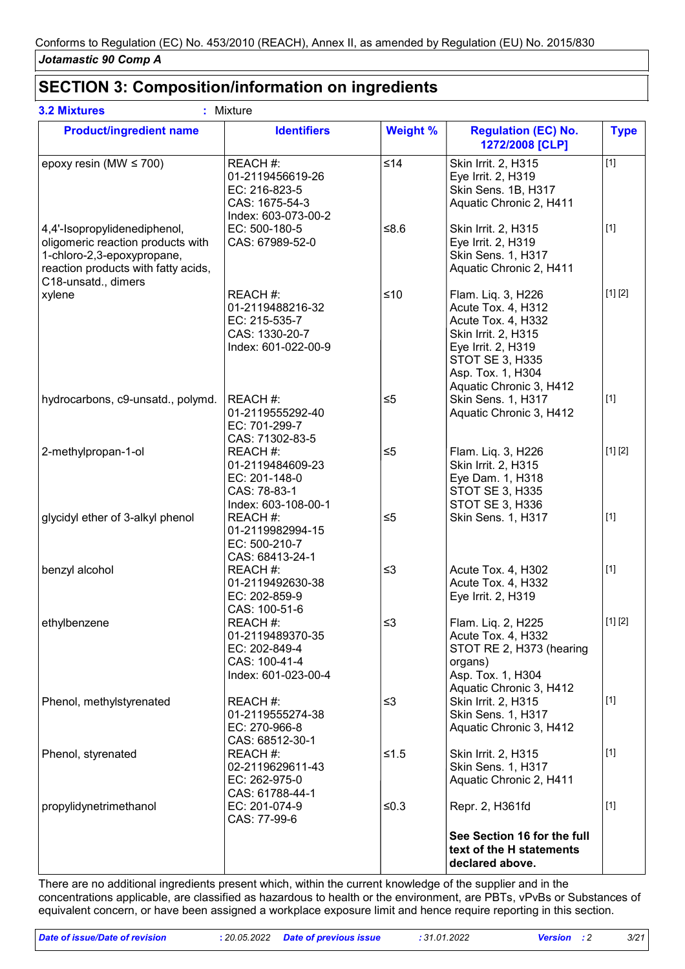## **SECTION 3: Composition/information on ingredients**

| <b>Product/ingredient name</b>                                                                                                                                | <b>Identifiers</b>                                                                     | <b>Weight %</b> | <b>Regulation (EC) No.</b><br>1272/2008 [CLP]                                                                                                                                  | <b>Type</b> |
|---------------------------------------------------------------------------------------------------------------------------------------------------------------|----------------------------------------------------------------------------------------|-----------------|--------------------------------------------------------------------------------------------------------------------------------------------------------------------------------|-------------|
| epoxy resin (MW $\leq$ 700)                                                                                                                                   | REACH #:<br>01-2119456619-26<br>EC: 216-823-5<br>CAS: 1675-54-3<br>Index: 603-073-00-2 | ≤14             | Skin Irrit. 2, H315<br>Eye Irrit. 2, H319<br>Skin Sens. 1B, H317<br>Aquatic Chronic 2, H411                                                                                    | $[1]$       |
| 4,4'-Isopropylidenediphenol,<br>oligomeric reaction products with<br>1-chloro-2,3-epoxypropane,<br>reaction products with fatty acids,<br>C18-unsatd., dimers | EC: 500-180-5<br>CAS: 67989-52-0                                                       | $≤8.6$          | Skin Irrit. 2, H315<br>Eye Irrit. 2, H319<br><b>Skin Sens. 1, H317</b><br>Aquatic Chronic 2, H411                                                                              | $[1]$       |
| xylene                                                                                                                                                        | REACH #:<br>01-2119488216-32<br>EC: 215-535-7<br>CAS: 1330-20-7<br>Index: 601-022-00-9 | ≤10             | Flam. Liq. 3, H226<br>Acute Tox. 4, H312<br>Acute Tox. 4, H332<br>Skin Irrit. 2, H315<br>Eye Irrit. 2, H319<br>STOT SE 3, H335<br>Asp. Tox. 1, H304<br>Aquatic Chronic 3, H412 | [1] [2]     |
| hydrocarbons, c9-unsatd., polymd.                                                                                                                             | REACH #:<br>01-2119555292-40<br>EC: 701-299-7<br>CAS: 71302-83-5                       | $\leq 5$        | Skin Sens. 1, H317<br>Aquatic Chronic 3, H412                                                                                                                                  | $[1]$       |
| 2-methylpropan-1-ol                                                                                                                                           | REACH #:<br>01-2119484609-23<br>EC: 201-148-0<br>CAS: 78-83-1<br>Index: 603-108-00-1   | $\leq 5$        | Flam. Liq. 3, H226<br>Skin Irrit. 2, H315<br>Eye Dam. 1, H318<br>STOT SE 3, H335<br>STOT SE 3, H336                                                                            | [1] [2]     |
| glycidyl ether of 3-alkyl phenol                                                                                                                              | REACH #:<br>01-2119982994-15<br>EC: 500-210-7<br>CAS: 68413-24-1                       | $\leq 5$        | <b>Skin Sens. 1, H317</b>                                                                                                                                                      | $[1]$       |
| benzyl alcohol                                                                                                                                                | REACH #:<br>01-2119492630-38<br>EC: 202-859-9<br>CAS: 100-51-6                         | $\leq$ 3        | Acute Tox. 4, H302<br>Acute Tox. 4, H332<br>Eye Irrit. 2, H319                                                                                                                 | $[1]$       |
| ethylbenzene                                                                                                                                                  | REACH #:<br>01-2119489370-35<br>EC: 202-849-4<br>CAS: 100-41-4<br>Index: 601-023-00-4  | ≤3              | Flam. Liq. 2, H225<br>Acute Tox. 4, H332<br>STOT RE 2, H373 (hearing<br>organs)<br>Asp. Tox. 1, H304<br>Aquatic Chronic 3, H412                                                | $[1] [2]$   |
| Phenol, methylstyrenated                                                                                                                                      | REACH #:<br>01-2119555274-38<br>EC: 270-966-8<br>CAS: 68512-30-1                       | $\leq$ 3        | Skin Irrit. 2, H315<br><b>Skin Sens. 1, H317</b><br>Aquatic Chronic 3, H412                                                                                                    | $[1]$       |
| Phenol, styrenated                                                                                                                                            | REACH #:<br>02-2119629611-43<br>EC: 262-975-0<br>CAS: 61788-44-1                       | $≤1.5$          | Skin Irrit. 2, H315<br>Skin Sens. 1, H317<br>Aquatic Chronic 2, H411                                                                                                           | $[1]$       |
| propylidynetrimethanol                                                                                                                                        | EC: 201-074-9<br>CAS: 77-99-6                                                          | $≤0.3$          | Repr. 2, H361fd                                                                                                                                                                | $[1]$       |
|                                                                                                                                                               |                                                                                        |                 | See Section 16 for the full<br>text of the H statements<br>declared above.                                                                                                     |             |

There are no additional ingredients present which, within the current knowledge of the supplier and in the concentrations applicable, are classified as hazardous to health or the environment, are PBTs, vPvBs or Substances of equivalent concern, or have been assigned a workplace exposure limit and hence require reporting in this section.

*Date of issue/Date of revision* **:** *20.05.2022 Date of previous issue : 31.01.2022 Version : 2 3/21*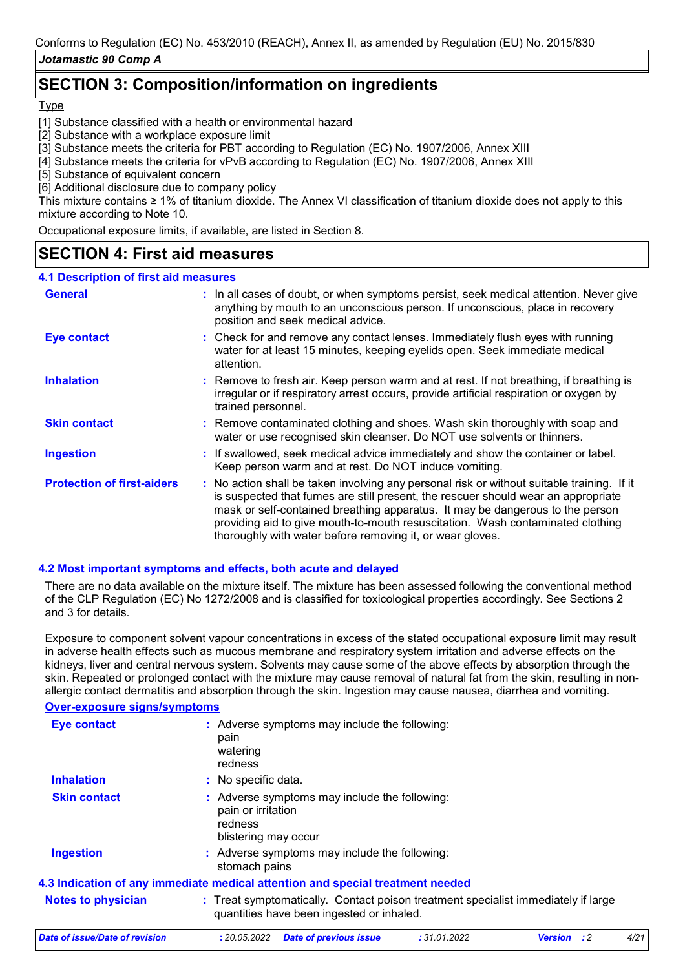## **SECTION 3: Composition/information on ingredients**

**Type** 

- [1] Substance classified with a health or environmental hazard
- [2] Substance with a workplace exposure limit
- [3] Substance meets the criteria for PBT according to Regulation (EC) No. 1907/2006, Annex XIII
- [4] Substance meets the criteria for vPvB according to Regulation (EC) No. 1907/2006, Annex XIII
- [5] Substance of equivalent concern
- [6] Additional disclosure due to company policy

This mixture contains ≥ 1% of titanium dioxide. The Annex VI classification of titanium dioxide does not apply to this mixture according to Note 10.

Occupational exposure limits, if available, are listed in Section 8.

### **SECTION 4: First aid measures**

#### **4.1 Description of first aid measures**

| <b>General</b>                    |  | : In all cases of doubt, or when symptoms persist, seek medical attention. Never give<br>anything by mouth to an unconscious person. If unconscious, place in recovery<br>position and seek medical advice.                                                                                                                                                                                                     |
|-----------------------------------|--|-----------------------------------------------------------------------------------------------------------------------------------------------------------------------------------------------------------------------------------------------------------------------------------------------------------------------------------------------------------------------------------------------------------------|
| <b>Eye contact</b>                |  | : Check for and remove any contact lenses. Immediately flush eyes with running<br>water for at least 15 minutes, keeping eyelids open. Seek immediate medical<br>attention.                                                                                                                                                                                                                                     |
| <b>Inhalation</b>                 |  | : Remove to fresh air. Keep person warm and at rest. If not breathing, if breathing is<br>irregular or if respiratory arrest occurs, provide artificial respiration or oxygen by<br>trained personnel.                                                                                                                                                                                                          |
| <b>Skin contact</b>               |  | : Remove contaminated clothing and shoes. Wash skin thoroughly with soap and<br>water or use recognised skin cleanser. Do NOT use solvents or thinners.                                                                                                                                                                                                                                                         |
| <b>Ingestion</b>                  |  | : If swallowed, seek medical advice immediately and show the container or label.<br>Keep person warm and at rest. Do NOT induce vomiting.                                                                                                                                                                                                                                                                       |
| <b>Protection of first-aiders</b> |  | : No action shall be taken involving any personal risk or without suitable training. If it<br>is suspected that fumes are still present, the rescuer should wear an appropriate<br>mask or self-contained breathing apparatus. It may be dangerous to the person<br>providing aid to give mouth-to-mouth resuscitation. Wash contaminated clothing<br>thoroughly with water before removing it, or wear gloves. |

#### **4.2 Most important symptoms and effects, both acute and delayed**

There are no data available on the mixture itself. The mixture has been assessed following the conventional method of the CLP Regulation (EC) No 1272/2008 and is classified for toxicological properties accordingly. See Sections 2 and 3 for details.

Exposure to component solvent vapour concentrations in excess of the stated occupational exposure limit may result in adverse health effects such as mucous membrane and respiratory system irritation and adverse effects on the kidneys, liver and central nervous system. Solvents may cause some of the above effects by absorption through the skin. Repeated or prolonged contact with the mixture may cause removal of natural fat from the skin, resulting in nonallergic contact dermatitis and absorption through the skin. Ingestion may cause nausea, diarrhea and vomiting.

#### **Over-exposure signs/symptoms**

| <b>Eye contact</b>                    | : Adverse symptoms may include the following:<br>pain<br>watering<br>redness                                                                                             |  |  |  |  |  |
|---------------------------------------|--------------------------------------------------------------------------------------------------------------------------------------------------------------------------|--|--|--|--|--|
| <b>Inhalation</b>                     | : No specific data.                                                                                                                                                      |  |  |  |  |  |
| <b>Skin contact</b>                   | : Adverse symptoms may include the following:<br>pain or irritation<br>redness<br>blistering may occur<br>: Adverse symptoms may include the following:<br>stomach pains |  |  |  |  |  |
| <b>Ingestion</b>                      |                                                                                                                                                                          |  |  |  |  |  |
|                                       | 4.3 Indication of any immediate medical attention and special treatment needed                                                                                           |  |  |  |  |  |
| <b>Notes to physician</b>             | : Treat symptomatically. Contact poison treatment specialist immediately if large<br>quantities have been ingested or inhaled.                                           |  |  |  |  |  |
| <b>Date of issue/Date of revision</b> | : 20.05.2022<br>:31.01.2022<br>4/2<br><b>Date of previous issue</b><br><b>Version</b><br>:2                                                                              |  |  |  |  |  |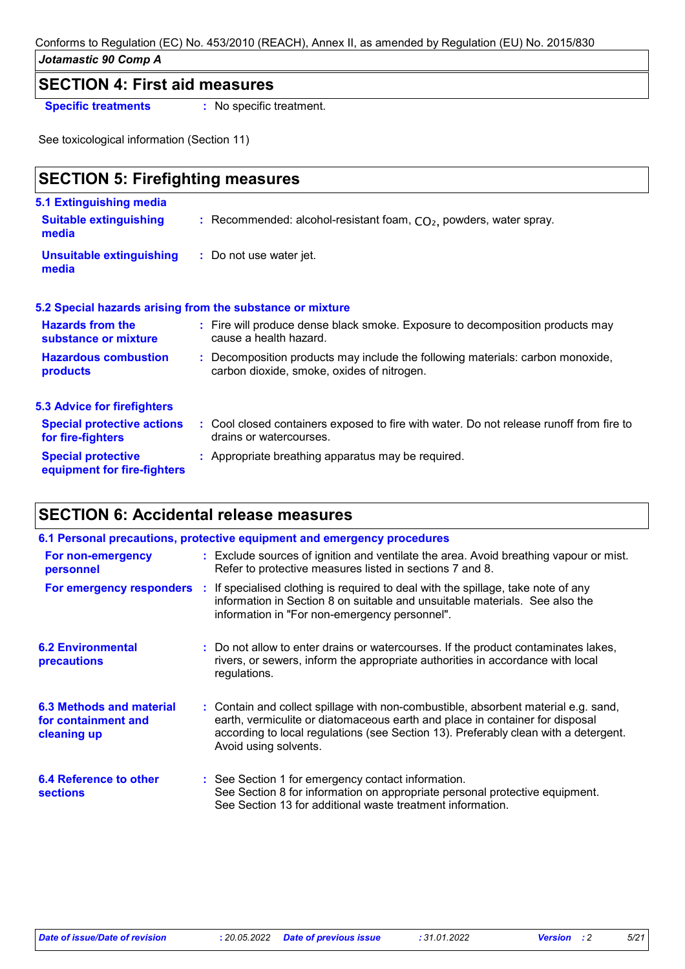## **SECTION 4: First aid measures**

**Specific treatments :** No specific treatment.

See toxicological information (Section 11)

| <b>SECTION 5: Firefighting measures</b>                  |                                                                                                                              |  |  |  |  |
|----------------------------------------------------------|------------------------------------------------------------------------------------------------------------------------------|--|--|--|--|
| 5.1 Extinguishing media                                  |                                                                                                                              |  |  |  |  |
| <b>Suitable extinguishing</b><br>media                   | : Recommended: alcohol-resistant foam, $CO2$ , powders, water spray.                                                         |  |  |  |  |
| <b>Unsuitable extinguishing</b><br>media                 | : Do not use water jet.                                                                                                      |  |  |  |  |
|                                                          | 5.2 Special hazards arising from the substance or mixture                                                                    |  |  |  |  |
| <b>Hazards from the</b><br>substance or mixture          | : Fire will produce dense black smoke. Exposure to decomposition products may<br>cause a health hazard.                      |  |  |  |  |
| <b>Hazardous combustion</b><br>products                  | : Decomposition products may include the following materials: carbon monoxide,<br>carbon dioxide, smoke, oxides of nitrogen. |  |  |  |  |
| <b>5.3 Advice for firefighters</b>                       |                                                                                                                              |  |  |  |  |
| <b>Special protective actions</b><br>for fire-fighters   | : Cool closed containers exposed to fire with water. Do not release runoff from fire to<br>drains or watercourses.           |  |  |  |  |
| <b>Special protective</b><br>equipment for fire-fighters | : Appropriate breathing apparatus may be required.                                                                           |  |  |  |  |

# **SECTION 6: Accidental release measures**

| 6.1 Personal precautions, protective equipment and emergency procedures                                                                                                             |  |                                                                                                                                                                                                                                                                                    |  |  |  |
|-------------------------------------------------------------------------------------------------------------------------------------------------------------------------------------|--|------------------------------------------------------------------------------------------------------------------------------------------------------------------------------------------------------------------------------------------------------------------------------------|--|--|--|
| : Exclude sources of ignition and ventilate the area. Avoid breathing vapour or mist.<br>For non-emergency<br>Refer to protective measures listed in sections 7 and 8.<br>personnel |  |                                                                                                                                                                                                                                                                                    |  |  |  |
| For emergency responders :                                                                                                                                                          |  | If specialised clothing is required to deal with the spillage, take note of any<br>information in Section 8 on suitable and unsuitable materials. See also the<br>information in "For non-emergency personnel".                                                                    |  |  |  |
| <b>6.2 Environmental</b><br><b>precautions</b>                                                                                                                                      |  | : Do not allow to enter drains or watercourses. If the product contaminates lakes,<br>rivers, or sewers, inform the appropriate authorities in accordance with local<br>regulations.                                                                                               |  |  |  |
| 6.3 Methods and material<br>for containment and<br>cleaning up                                                                                                                      |  | : Contain and collect spillage with non-combustible, absorbent material e.g. sand,<br>earth, vermiculite or diatomaceous earth and place in container for disposal<br>according to local regulations (see Section 13). Preferably clean with a detergent.<br>Avoid using solvents. |  |  |  |
| 6.4 Reference to other<br><b>sections</b>                                                                                                                                           |  | : See Section 1 for emergency contact information.<br>See Section 8 for information on appropriate personal protective equipment.<br>See Section 13 for additional waste treatment information.                                                                                    |  |  |  |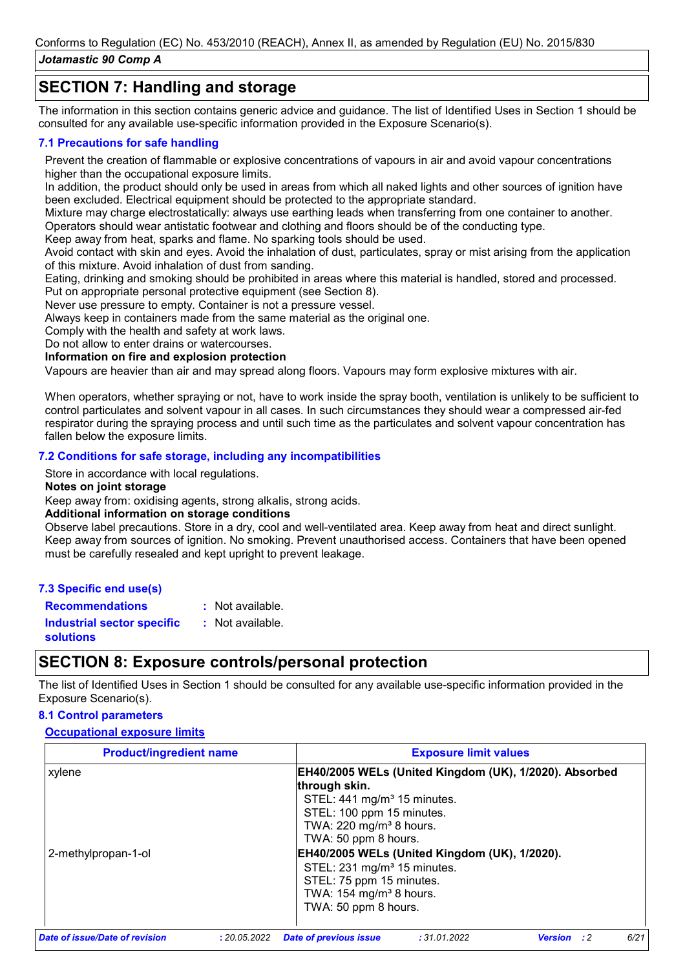# **SECTION 7: Handling and storage**

The information in this section contains generic advice and guidance. The list of Identified Uses in Section 1 should be consulted for any available use-specific information provided in the Exposure Scenario(s).

#### **7.1 Precautions for safe handling**

Prevent the creation of flammable or explosive concentrations of vapours in air and avoid vapour concentrations higher than the occupational exposure limits.

In addition, the product should only be used in areas from which all naked lights and other sources of ignition have been excluded. Electrical equipment should be protected to the appropriate standard.

Mixture may charge electrostatically: always use earthing leads when transferring from one container to another. Operators should wear antistatic footwear and clothing and floors should be of the conducting type.

Keep away from heat, sparks and flame. No sparking tools should be used.

Avoid contact with skin and eyes. Avoid the inhalation of dust, particulates, spray or mist arising from the application of this mixture. Avoid inhalation of dust from sanding.

Eating, drinking and smoking should be prohibited in areas where this material is handled, stored and processed.

Put on appropriate personal protective equipment (see Section 8).

Never use pressure to empty. Container is not a pressure vessel.

Always keep in containers made from the same material as the original one.

Comply with the health and safety at work laws.

Do not allow to enter drains or watercourses.

**Information on fire and explosion protection**

Vapours are heavier than air and may spread along floors. Vapours may form explosive mixtures with air.

When operators, whether spraying or not, have to work inside the spray booth, ventilation is unlikely to be sufficient to control particulates and solvent vapour in all cases. In such circumstances they should wear a compressed air-fed respirator during the spraying process and until such time as the particulates and solvent vapour concentration has fallen below the exposure limits.

#### **7.2 Conditions for safe storage, including any incompatibilities**

Store in accordance with local regulations.

#### **Notes on joint storage**

Keep away from: oxidising agents, strong alkalis, strong acids.

#### **Additional information on storage conditions**

Observe label precautions. Store in a dry, cool and well-ventilated area. Keep away from heat and direct sunlight. Keep away from sources of ignition. No smoking. Prevent unauthorised access. Containers that have been opened must be carefully resealed and kept upright to prevent leakage.

#### **7.3 Specific end use(s) Recommendations :**

: Not available.

**Industrial sector specific : solutions** : Not available.

# **SECTION 8: Exposure controls/personal protection**

The list of Identified Uses in Section 1 should be consulted for any available use-specific information provided in the Exposure Scenario(s).

#### **8.1 Control parameters**

#### **Occupational exposure limits**

| <b>Product/ingredient name</b> | <b>Exposure limit values</b>                                                                                                                                                                                                                                                                                                                                                                         |
|--------------------------------|------------------------------------------------------------------------------------------------------------------------------------------------------------------------------------------------------------------------------------------------------------------------------------------------------------------------------------------------------------------------------------------------------|
| xylene<br>2-methylpropan-1-ol  | EH40/2005 WELs (United Kingdom (UK), 1/2020). Absorbed<br>through skin.<br>STEL: 441 mg/m <sup>3</sup> 15 minutes.<br>STEL: 100 ppm 15 minutes.<br>TWA: 220 mg/m <sup>3</sup> 8 hours.<br>TWA: 50 ppm 8 hours.<br>EH40/2005 WELs (United Kingdom (UK), 1/2020).<br>STEL: 231 mg/m <sup>3</sup> 15 minutes.<br>STEL: 75 ppm 15 minutes.<br>TWA: $154 \text{ mg/m}^3$ 8 hours.<br>TWA: 50 ppm 8 hours. |
| Date of issue/Date of revision | 6/21<br>:31.01.2022<br>: 20.05.2022<br><b>Date of previous issue</b><br><b>Version</b><br>$\cdot$ :2                                                                                                                                                                                                                                                                                                 |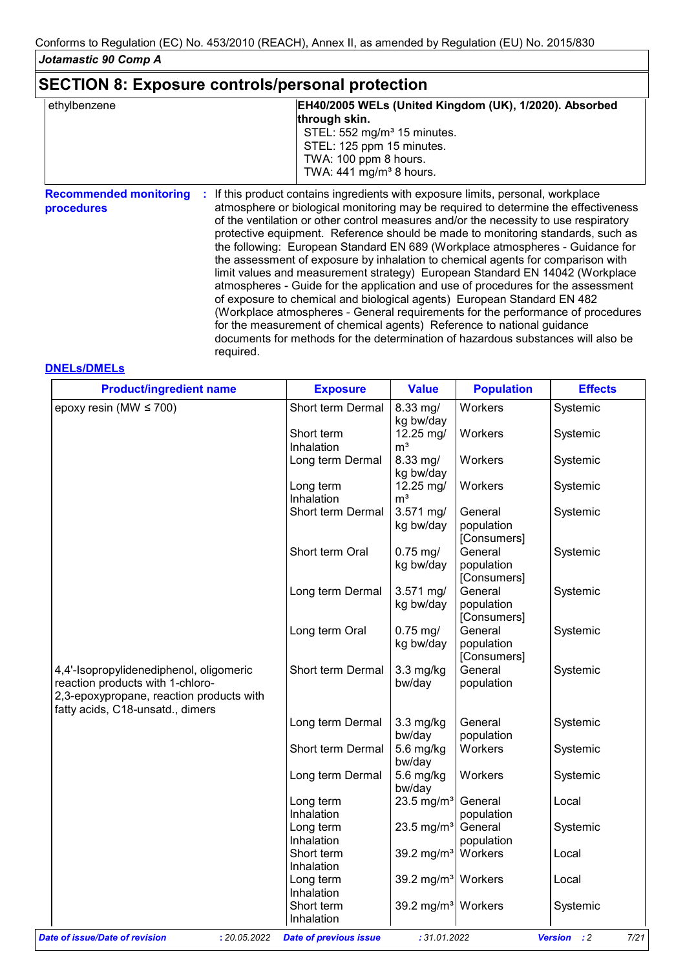### **SECTION 8: Exposure controls/personal protection**

| ethylbenzene | EH40/2005 WELs (United Kingdom (UK), 1/2020). Absorbed                                                          |
|--------------|-----------------------------------------------------------------------------------------------------------------|
|              | through skin.                                                                                                   |
|              | STEL: 552 mg/m <sup>3</sup> 15 minutes.                                                                         |
|              | STEL: 125 ppm 15 minutes.                                                                                       |
|              | TWA: 100 ppm 8 hours.                                                                                           |
|              | TWA: $441 \text{ mg/m}^3$ 8 hours.                                                                              |
| .            | the contract of the contract of the contract of the contract of the contract of the contract of the contract of |

**Recommended monitoring**  If this product contains ingredients with exposure limits, personal, workplace **: procedures** atmosphere or biological monitoring may be required to determine the effectiveness of the ventilation or other control measures and/or the necessity to use respiratory protective equipment. Reference should be made to monitoring standards, such as the following: European Standard EN 689 (Workplace atmospheres - Guidance for the assessment of exposure by inhalation to chemical agents for comparison with limit values and measurement strategy) European Standard EN 14042 (Workplace atmospheres - Guide for the application and use of procedures for the assessment of exposure to chemical and biological agents) European Standard EN 482 (Workplace atmospheres - General requirements for the performance of procedures for the measurement of chemical agents) Reference to national guidance documents for methods for the determination of hazardous substances will also be required.

#### **DNELs/DMELs**

| <b>Product/ingredient name</b>                                                                                                                              | <b>Exposure</b>               | <b>Value</b>                   | <b>Population</b>                    | <b>Effects</b>                       |
|-------------------------------------------------------------------------------------------------------------------------------------------------------------|-------------------------------|--------------------------------|--------------------------------------|--------------------------------------|
| epoxy resin (MW $\leq$ 700)                                                                                                                                 | Short term Dermal             | 8.33 mg/<br>kg bw/day          | Workers                              | Systemic                             |
|                                                                                                                                                             | Short term<br>Inhalation      | 12.25 mg/<br>m <sup>3</sup>    | Workers                              | Systemic                             |
|                                                                                                                                                             | Long term Dermal              | 8.33 mg/<br>kg bw/day          | Workers                              | Systemic                             |
|                                                                                                                                                             | Long term<br>Inhalation       | 12.25 mg/<br>m <sup>3</sup>    | Workers                              | Systemic                             |
|                                                                                                                                                             | Short term Dermal             | 3.571 mg/<br>kg bw/day         | General<br>population<br>[Consumers] | Systemic                             |
|                                                                                                                                                             | Short term Oral               | $0.75$ mg/<br>kg bw/day        | General<br>population<br>[Consumers] | Systemic                             |
|                                                                                                                                                             | Long term Dermal              | 3.571 mg/<br>kg bw/day         | General<br>population<br>[Consumers] | Systemic                             |
|                                                                                                                                                             | Long term Oral                | $0.75$ mg/<br>kg bw/day        | General<br>population<br>[Consumers] | Systemic                             |
| 4,4'-Isopropylidenediphenol, oligomeric<br>reaction products with 1-chloro-<br>2,3-epoxypropane, reaction products with<br>fatty acids, C18-unsatd., dimers | Short term Dermal             | $3.3$ mg/kg<br>bw/day          | General<br>population                | Systemic                             |
|                                                                                                                                                             | Long term Dermal              | $3.3$ mg/kg<br>bw/day          | General<br>population                | Systemic                             |
|                                                                                                                                                             | Short term Dermal             | 5.6 mg/kg<br>bw/day            | Workers                              | Systemic                             |
|                                                                                                                                                             | Long term Dermal              | 5.6 mg/kg<br>bw/day            | Workers                              | Systemic                             |
|                                                                                                                                                             | Long term<br>Inhalation       | 23.5 mg/m <sup>3</sup>         | General<br>population                | Local                                |
|                                                                                                                                                             | Long term<br>Inhalation       | 23.5 mg/m <sup>3</sup>         | General<br>population                | Systemic                             |
|                                                                                                                                                             | Short term<br>Inhalation      | 39.2 mg/m <sup>3</sup>         | Workers                              | Local                                |
|                                                                                                                                                             | Long term<br>Inhalation       | 39.2 mg/m <sup>3</sup> Workers |                                      | Local                                |
|                                                                                                                                                             | Short term<br>Inhalation      | 39.2 mg/m <sup>3</sup> Workers |                                      | Systemic                             |
| Date of issue/Date of revision<br>: 20.05.2022                                                                                                              | <b>Date of previous issue</b> | : 31.01.2022                   |                                      | 7/21<br><b>Version</b><br>$\cdot$ :2 |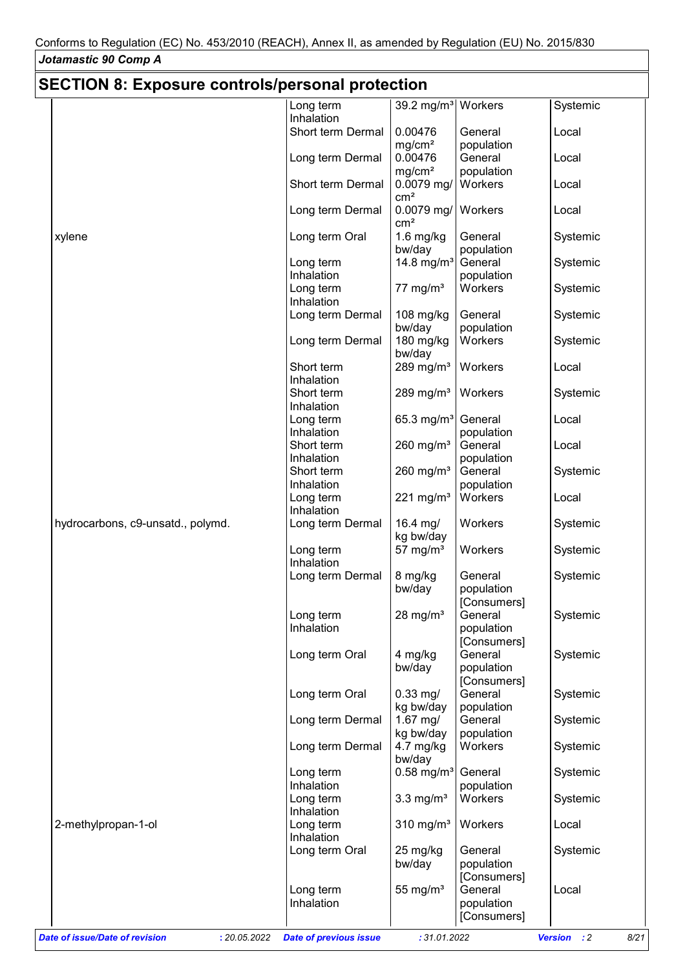$\mathsf{I}$ 

| <b>SECTION 8: Exposure controls/personal protection</b> |                                               |                                 |                                      |                                       |
|---------------------------------------------------------|-----------------------------------------------|---------------------------------|--------------------------------------|---------------------------------------|
|                                                         | Long term                                     | 39.2 mg/m <sup>3</sup>          | Workers                              | Systemic                              |
|                                                         | Inhalation<br>Short term Dermal               | 0.00476                         | General                              | Local                                 |
|                                                         |                                               | mg/cm <sup>2</sup><br>0.00476   | population<br>General                |                                       |
|                                                         | Long term Dermal                              | mg/cm <sup>2</sup>              | population                           | Local                                 |
|                                                         | Short term Dermal                             | 0.0079 mg/<br>cm <sup>2</sup>   | Workers                              | Local                                 |
|                                                         | Long term Dermal                              | $0.0079$ mg/<br>cm <sup>2</sup> | Workers                              | Local                                 |
| xylene                                                  | Long term Oral                                | $1.6$ mg/kg<br>bw/day           | General<br>population                | Systemic                              |
|                                                         | Long term                                     | 14.8 mg/ $m3$                   | General                              | Systemic                              |
|                                                         | Inhalation<br>Long term                       | 77 mg/ $m3$                     | population<br>Workers                | Systemic                              |
|                                                         | Inhalation                                    |                                 |                                      |                                       |
|                                                         | Long term Dermal                              | 108 mg/kg                       | General                              | Systemic                              |
|                                                         |                                               | bw/day                          | population                           |                                       |
|                                                         | Long term Dermal                              | 180 mg/kg<br>bw/day             | Workers                              | Systemic                              |
|                                                         | Short term<br>Inhalation                      | 289 mg/m $3$                    | Workers                              | Local                                 |
|                                                         | Short term                                    | 289 mg/m $3$                    | Workers                              | Systemic                              |
|                                                         | Inhalation                                    |                                 |                                      |                                       |
|                                                         | Long term<br>Inhalation                       | 65.3 mg/m <sup>3</sup>          | General<br>population                | Local                                 |
|                                                         | Short term                                    | 260 mg/ $m3$                    | General                              | Local                                 |
|                                                         | Inhalation                                    |                                 | population                           |                                       |
|                                                         | Short term                                    | 260 mg/ $m3$                    | General                              | Systemic                              |
|                                                         | Inhalation                                    |                                 | population                           |                                       |
|                                                         | Long term                                     | 221 mg/m <sup>3</sup>           | Workers                              | Local                                 |
| hydrocarbons, c9-unsatd., polymd.                       | Inhalation<br>Long term Dermal                | 16.4 mg/<br>kg bw/day           | Workers                              | Systemic                              |
|                                                         | Long term                                     | 57 mg/ $m3$                     | Workers                              | Systemic                              |
|                                                         | Inhalation                                    |                                 |                                      |                                       |
|                                                         | Long term Dermal                              | 8 mg/kg<br>bw/day               | General<br>population<br>[Consumers] | Systemic                              |
|                                                         | Long term                                     | 28 mg/ $m3$                     | General                              | Systemic                              |
|                                                         | Inhalation                                    |                                 | population<br>[Consumers]            |                                       |
|                                                         | Long term Oral                                | 4 mg/kg<br>bw/day               | General<br>population                | Systemic                              |
|                                                         |                                               |                                 | [Consumers]                          |                                       |
|                                                         | Long term Oral                                | $0.33$ mg/                      | General                              | Systemic                              |
|                                                         | Long term Dermal                              | kg bw/day<br>$1.67$ mg/         | population<br>General                | Systemic                              |
|                                                         |                                               | kg bw/day                       | population                           |                                       |
|                                                         | Long term Dermal                              | $4.7 \text{ mg/kg}$<br>bw/day   | Workers                              | Systemic                              |
|                                                         | Long term                                     | $0.58$ mg/m <sup>3</sup>        | General                              | Systemic                              |
|                                                         | Inhalation<br>Long term                       | $3.3 \text{ mg/m}^3$            | population<br>Workers                | Systemic                              |
|                                                         | Inhalation                                    |                                 |                                      |                                       |
| 2-methylpropan-1-ol                                     | Long term                                     | $310$ mg/m <sup>3</sup>         | Workers                              | Local                                 |
|                                                         | Inhalation                                    |                                 |                                      |                                       |
|                                                         | Long term Oral                                | 25 mg/kg                        | General                              | Systemic                              |
|                                                         |                                               | bw/day                          | population<br>[Consumers]            |                                       |
|                                                         | Long term                                     | 55 mg/ $m3$                     | General                              | Local                                 |
|                                                         | Inhalation                                    |                                 | population                           |                                       |
|                                                         |                                               |                                 | [Consumers]                          |                                       |
| Date of issue/Date of revision                          | : 20.05.2022<br><b>Date of previous issue</b> | : 31.01.2022                    |                                      | <b>Version</b><br>$\cdot$ : 2<br>8/21 |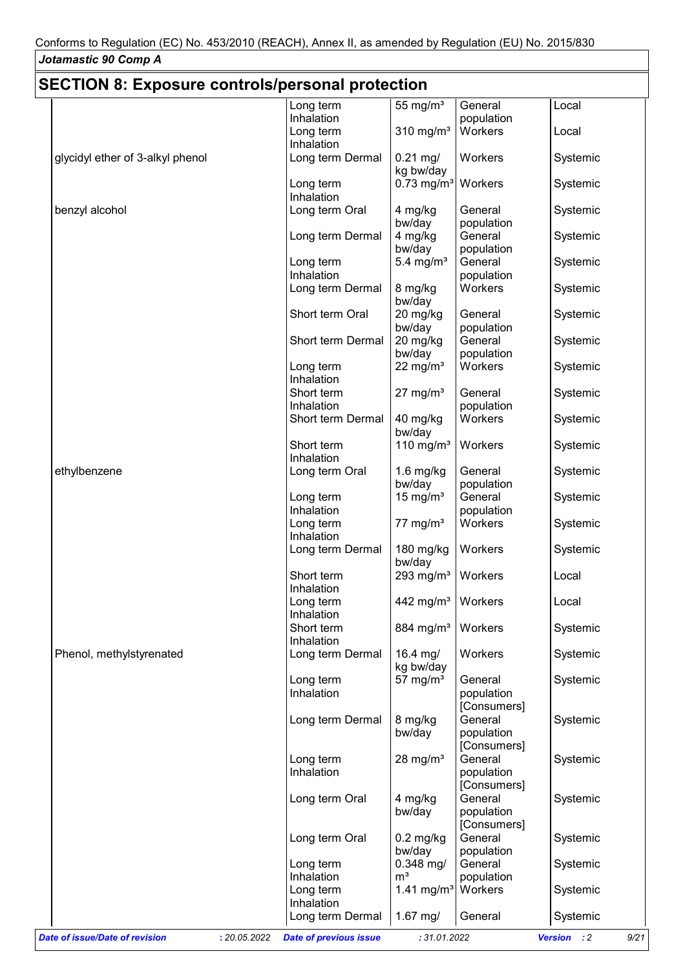## **SECTION 8: Exposure controls/personal protection**

|                                                | Long term                     | 55 mg/ $m3$                     | General     | Local               |
|------------------------------------------------|-------------------------------|---------------------------------|-------------|---------------------|
|                                                | Inhalation                    |                                 | population  |                     |
|                                                | Long term                     | 310 mg/m $3$                    | Workers     | Local               |
|                                                | Inhalation                    |                                 |             |                     |
| glycidyl ether of 3-alkyl phenol               | Long term Dermal              | $0.21$ mg/                      | Workers     | Systemic            |
|                                                |                               |                                 |             |                     |
|                                                |                               | kg bw/day                       |             |                     |
|                                                | Long term                     | $0.73$ mg/m <sup>3</sup>        | Workers     | Systemic            |
|                                                | Inhalation                    |                                 |             |                     |
| benzyl alcohol                                 | Long term Oral                | 4 mg/kg                         | General     | Systemic            |
|                                                |                               | bw/day                          | population  |                     |
|                                                | Long term Dermal              | 4 mg/kg                         | General     | Systemic            |
|                                                |                               | bw/day                          | population  |                     |
|                                                | Long term                     | 5.4 mg/ $m3$                    | General     | Systemic            |
|                                                | Inhalation                    |                                 | population  |                     |
|                                                | Long term Dermal              | 8 mg/kg                         | Workers     | Systemic            |
|                                                |                               |                                 |             |                     |
|                                                |                               | bw/day                          |             |                     |
|                                                | Short term Oral               | 20 mg/kg                        | General     | Systemic            |
|                                                |                               | bw/day                          | population  |                     |
|                                                | Short term Dermal             | 20 mg/kg                        | General     | Systemic            |
|                                                |                               | bw/day                          | population  |                     |
|                                                | Long term                     | 22 mg/ $m3$                     | Workers     | Systemic            |
|                                                | Inhalation                    |                                 |             |                     |
|                                                | Short term                    | $27 \text{ mg/m}^3$             | General     | Systemic            |
|                                                | Inhalation                    |                                 | population  |                     |
|                                                | Short term Dermal             | 40 mg/kg                        | Workers     | Systemic            |
|                                                |                               |                                 |             |                     |
|                                                |                               | bw/day                          |             |                     |
|                                                | Short term                    | 110 mg/m $3$                    | Workers     | Systemic            |
|                                                | Inhalation                    |                                 |             |                     |
| ethylbenzene                                   | Long term Oral                | $1.6$ mg/kg                     | General     | Systemic            |
|                                                |                               | bw/day                          | population  |                     |
|                                                | Long term                     | 15 mg/ $m3$                     | General     | Systemic            |
|                                                | Inhalation                    |                                 | population  |                     |
|                                                | Long term                     | $77 \text{ mg/m}^3$             | Workers     | Systemic            |
|                                                | Inhalation                    |                                 |             |                     |
|                                                |                               |                                 |             |                     |
|                                                | Long term Dermal              | 180 mg/kg                       | Workers     | Systemic            |
|                                                |                               | bw/day                          |             |                     |
|                                                | Short term                    | 293 mg/m <sup>3</sup>           | Workers     | Local               |
|                                                | Inhalation                    |                                 |             |                     |
|                                                | Long term                     | 442 mg/m <sup>3</sup>   Workers |             | Local               |
|                                                | Inhalation                    |                                 |             |                     |
|                                                | Short term                    | 884 mg/m <sup>3</sup>           | Workers     | Systemic            |
|                                                | Inhalation                    |                                 |             |                     |
| Phenol, methylstyrenated                       | Long term Dermal              | 16.4 mg/                        | Workers     | Systemic            |
|                                                |                               | kg bw/day                       |             |                     |
|                                                | Long term                     | 57 mg/ $m3$                     | General     | Systemic            |
|                                                |                               |                                 |             |                     |
|                                                | Inhalation                    |                                 | population  |                     |
|                                                |                               |                                 | [Consumers] |                     |
|                                                | Long term Dermal              | 8 mg/kg                         | General     | Systemic            |
|                                                |                               | bw/day                          | population  |                     |
|                                                |                               |                                 | [Consumers] |                     |
|                                                | Long term                     | $28 \text{ mg/m}^3$             | General     | Systemic            |
|                                                | Inhalation                    |                                 | population  |                     |
|                                                |                               |                                 | [Consumers] |                     |
|                                                | Long term Oral                | 4 mg/kg                         | General     | Systemic            |
|                                                |                               |                                 |             |                     |
|                                                |                               | bw/day                          | population  |                     |
|                                                |                               |                                 | [Consumers] |                     |
|                                                | Long term Oral                | $0.2$ mg/kg                     | General     | Systemic            |
|                                                |                               | bw/day                          | population  |                     |
|                                                | Long term                     | $0.348$ mg/                     | General     | Systemic            |
|                                                | Inhalation                    | m <sup>3</sup>                  | population  |                     |
|                                                | Long term                     | 1.41 mg/m <sup>3</sup>          | Workers     | Systemic            |
|                                                | Inhalation                    |                                 |             |                     |
|                                                | Long term Dermal              | $1.67$ mg/                      | General     | Systemic            |
|                                                |                               |                                 |             |                     |
| Date of issue/Date of revision<br>: 20.05.2022 | <b>Date of previous issue</b> | : 31.01.2022                    |             | Version : 2<br>9/21 |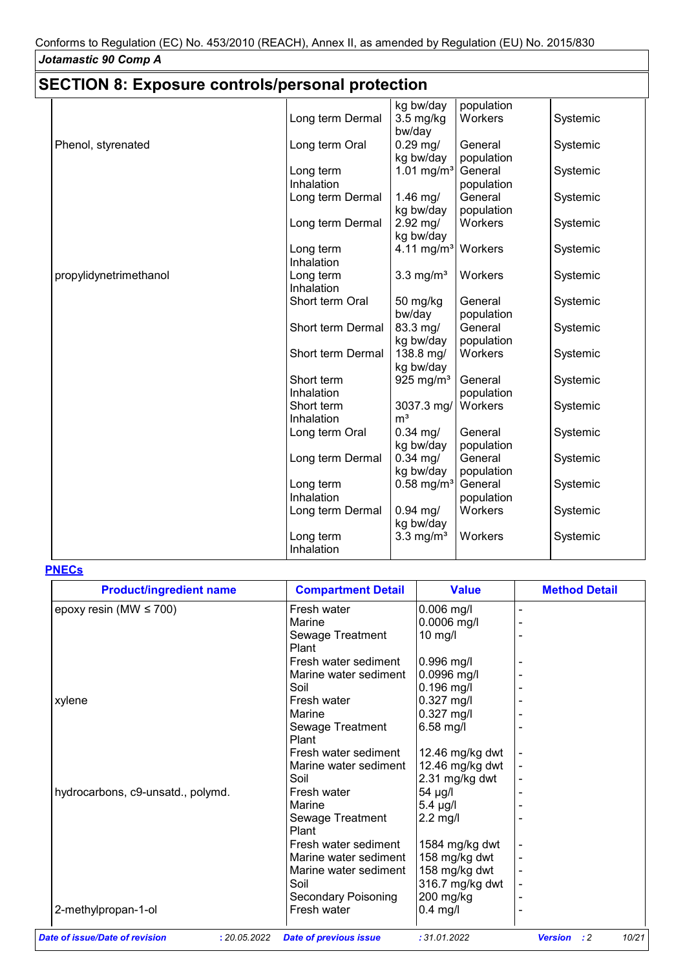# **SECTION 8: Exposure controls/personal protection**

| kg bw/day<br>population<br>Workers<br>Long term Dermal<br>$3.5$ mg/kg<br>Systemic<br>bw/day<br>Phenol, styrenated<br>$0.29$ mg/<br>Long term Oral<br>General<br>Systemic<br>kg bw/day<br>population<br>1.01 mg/m <sup>3</sup><br>General<br>Systemic<br>Long term<br>Inhalation<br>population<br>$1.46$ mg/<br>Long term Dermal<br>General<br>Systemic<br>kg bw/day<br>population<br>$2.92$ mg/<br>Workers<br>Long term Dermal<br>Systemic<br>kg bw/day<br>4.11 mg/m <sup>3</sup> Workers<br>Long term<br>Systemic<br>Inhalation<br>$3.3$ mg/m <sup>3</sup><br>Workers<br>Systemic<br>propylidynetrimethanol<br>Long term<br>Inhalation<br>Short term Oral<br>50 mg/kg<br>General<br>Systemic<br>bw/day<br>population<br>Short term Dermal<br>83.3 mg/<br>General<br>Systemic<br>kg bw/day<br>population<br>138.8 mg/<br>Workers<br>Short term Dermal<br>Systemic<br>kg bw/day<br>Short term<br>925 mg/m <sup>3</sup><br>General<br>Systemic<br>Inhalation<br>population<br>Short term<br>3037.3 mg/<br>Workers<br>Systemic<br>m <sup>3</sup><br>Inhalation<br>$0.34$ mg/<br>General<br>Long term Oral<br>Systemic<br>kg bw/day<br>population<br>$0.34$ mg/<br>General<br>Long term Dermal<br>Systemic<br>kg bw/day<br>population<br>$0.58$ mg/m <sup>3</sup><br>General<br>Long term<br>Systemic<br>Inhalation<br>population<br>Workers<br>Long term Dermal<br>$0.94$ mg/<br>Systemic<br>kg bw/day<br>$3.3$ mg/m <sup>3</sup><br>Long term<br>Workers<br>Systemic<br>Inhalation |  |  |  |
|----------------------------------------------------------------------------------------------------------------------------------------------------------------------------------------------------------------------------------------------------------------------------------------------------------------------------------------------------------------------------------------------------------------------------------------------------------------------------------------------------------------------------------------------------------------------------------------------------------------------------------------------------------------------------------------------------------------------------------------------------------------------------------------------------------------------------------------------------------------------------------------------------------------------------------------------------------------------------------------------------------------------------------------------------------------------------------------------------------------------------------------------------------------------------------------------------------------------------------------------------------------------------------------------------------------------------------------------------------------------------------------------------------------------------------------------------------------------------------|--|--|--|
|                                                                                                                                                                                                                                                                                                                                                                                                                                                                                                                                                                                                                                                                                                                                                                                                                                                                                                                                                                                                                                                                                                                                                                                                                                                                                                                                                                                                                                                                                  |  |  |  |
|                                                                                                                                                                                                                                                                                                                                                                                                                                                                                                                                                                                                                                                                                                                                                                                                                                                                                                                                                                                                                                                                                                                                                                                                                                                                                                                                                                                                                                                                                  |  |  |  |
|                                                                                                                                                                                                                                                                                                                                                                                                                                                                                                                                                                                                                                                                                                                                                                                                                                                                                                                                                                                                                                                                                                                                                                                                                                                                                                                                                                                                                                                                                  |  |  |  |
|                                                                                                                                                                                                                                                                                                                                                                                                                                                                                                                                                                                                                                                                                                                                                                                                                                                                                                                                                                                                                                                                                                                                                                                                                                                                                                                                                                                                                                                                                  |  |  |  |
|                                                                                                                                                                                                                                                                                                                                                                                                                                                                                                                                                                                                                                                                                                                                                                                                                                                                                                                                                                                                                                                                                                                                                                                                                                                                                                                                                                                                                                                                                  |  |  |  |
|                                                                                                                                                                                                                                                                                                                                                                                                                                                                                                                                                                                                                                                                                                                                                                                                                                                                                                                                                                                                                                                                                                                                                                                                                                                                                                                                                                                                                                                                                  |  |  |  |
|                                                                                                                                                                                                                                                                                                                                                                                                                                                                                                                                                                                                                                                                                                                                                                                                                                                                                                                                                                                                                                                                                                                                                                                                                                                                                                                                                                                                                                                                                  |  |  |  |
|                                                                                                                                                                                                                                                                                                                                                                                                                                                                                                                                                                                                                                                                                                                                                                                                                                                                                                                                                                                                                                                                                                                                                                                                                                                                                                                                                                                                                                                                                  |  |  |  |
|                                                                                                                                                                                                                                                                                                                                                                                                                                                                                                                                                                                                                                                                                                                                                                                                                                                                                                                                                                                                                                                                                                                                                                                                                                                                                                                                                                                                                                                                                  |  |  |  |
|                                                                                                                                                                                                                                                                                                                                                                                                                                                                                                                                                                                                                                                                                                                                                                                                                                                                                                                                                                                                                                                                                                                                                                                                                                                                                                                                                                                                                                                                                  |  |  |  |
|                                                                                                                                                                                                                                                                                                                                                                                                                                                                                                                                                                                                                                                                                                                                                                                                                                                                                                                                                                                                                                                                                                                                                                                                                                                                                                                                                                                                                                                                                  |  |  |  |
|                                                                                                                                                                                                                                                                                                                                                                                                                                                                                                                                                                                                                                                                                                                                                                                                                                                                                                                                                                                                                                                                                                                                                                                                                                                                                                                                                                                                                                                                                  |  |  |  |
|                                                                                                                                                                                                                                                                                                                                                                                                                                                                                                                                                                                                                                                                                                                                                                                                                                                                                                                                                                                                                                                                                                                                                                                                                                                                                                                                                                                                                                                                                  |  |  |  |
|                                                                                                                                                                                                                                                                                                                                                                                                                                                                                                                                                                                                                                                                                                                                                                                                                                                                                                                                                                                                                                                                                                                                                                                                                                                                                                                                                                                                                                                                                  |  |  |  |
|                                                                                                                                                                                                                                                                                                                                                                                                                                                                                                                                                                                                                                                                                                                                                                                                                                                                                                                                                                                                                                                                                                                                                                                                                                                                                                                                                                                                                                                                                  |  |  |  |
|                                                                                                                                                                                                                                                                                                                                                                                                                                                                                                                                                                                                                                                                                                                                                                                                                                                                                                                                                                                                                                                                                                                                                                                                                                                                                                                                                                                                                                                                                  |  |  |  |
|                                                                                                                                                                                                                                                                                                                                                                                                                                                                                                                                                                                                                                                                                                                                                                                                                                                                                                                                                                                                                                                                                                                                                                                                                                                                                                                                                                                                                                                                                  |  |  |  |
|                                                                                                                                                                                                                                                                                                                                                                                                                                                                                                                                                                                                                                                                                                                                                                                                                                                                                                                                                                                                                                                                                                                                                                                                                                                                                                                                                                                                                                                                                  |  |  |  |
|                                                                                                                                                                                                                                                                                                                                                                                                                                                                                                                                                                                                                                                                                                                                                                                                                                                                                                                                                                                                                                                                                                                                                                                                                                                                                                                                                                                                                                                                                  |  |  |  |
|                                                                                                                                                                                                                                                                                                                                                                                                                                                                                                                                                                                                                                                                                                                                                                                                                                                                                                                                                                                                                                                                                                                                                                                                                                                                                                                                                                                                                                                                                  |  |  |  |
|                                                                                                                                                                                                                                                                                                                                                                                                                                                                                                                                                                                                                                                                                                                                                                                                                                                                                                                                                                                                                                                                                                                                                                                                                                                                                                                                                                                                                                                                                  |  |  |  |
|                                                                                                                                                                                                                                                                                                                                                                                                                                                                                                                                                                                                                                                                                                                                                                                                                                                                                                                                                                                                                                                                                                                                                                                                                                                                                                                                                                                                                                                                                  |  |  |  |
|                                                                                                                                                                                                                                                                                                                                                                                                                                                                                                                                                                                                                                                                                                                                                                                                                                                                                                                                                                                                                                                                                                                                                                                                                                                                                                                                                                                                                                                                                  |  |  |  |
|                                                                                                                                                                                                                                                                                                                                                                                                                                                                                                                                                                                                                                                                                                                                                                                                                                                                                                                                                                                                                                                                                                                                                                                                                                                                                                                                                                                                                                                                                  |  |  |  |
|                                                                                                                                                                                                                                                                                                                                                                                                                                                                                                                                                                                                                                                                                                                                                                                                                                                                                                                                                                                                                                                                                                                                                                                                                                                                                                                                                                                                                                                                                  |  |  |  |
|                                                                                                                                                                                                                                                                                                                                                                                                                                                                                                                                                                                                                                                                                                                                                                                                                                                                                                                                                                                                                                                                                                                                                                                                                                                                                                                                                                                                                                                                                  |  |  |  |
|                                                                                                                                                                                                                                                                                                                                                                                                                                                                                                                                                                                                                                                                                                                                                                                                                                                                                                                                                                                                                                                                                                                                                                                                                                                                                                                                                                                                                                                                                  |  |  |  |
|                                                                                                                                                                                                                                                                                                                                                                                                                                                                                                                                                                                                                                                                                                                                                                                                                                                                                                                                                                                                                                                                                                                                                                                                                                                                                                                                                                                                                                                                                  |  |  |  |
|                                                                                                                                                                                                                                                                                                                                                                                                                                                                                                                                                                                                                                                                                                                                                                                                                                                                                                                                                                                                                                                                                                                                                                                                                                                                                                                                                                                                                                                                                  |  |  |  |
|                                                                                                                                                                                                                                                                                                                                                                                                                                                                                                                                                                                                                                                                                                                                                                                                                                                                                                                                                                                                                                                                                                                                                                                                                                                                                                                                                                                                                                                                                  |  |  |  |
|                                                                                                                                                                                                                                                                                                                                                                                                                                                                                                                                                                                                                                                                                                                                                                                                                                                                                                                                                                                                                                                                                                                                                                                                                                                                                                                                                                                                                                                                                  |  |  |  |
|                                                                                                                                                                                                                                                                                                                                                                                                                                                                                                                                                                                                                                                                                                                                                                                                                                                                                                                                                                                                                                                                                                                                                                                                                                                                                                                                                                                                                                                                                  |  |  |  |
|                                                                                                                                                                                                                                                                                                                                                                                                                                                                                                                                                                                                                                                                                                                                                                                                                                                                                                                                                                                                                                                                                                                                                                                                                                                                                                                                                                                                                                                                                  |  |  |  |
|                                                                                                                                                                                                                                                                                                                                                                                                                                                                                                                                                                                                                                                                                                                                                                                                                                                                                                                                                                                                                                                                                                                                                                                                                                                                                                                                                                                                                                                                                  |  |  |  |
|                                                                                                                                                                                                                                                                                                                                                                                                                                                                                                                                                                                                                                                                                                                                                                                                                                                                                                                                                                                                                                                                                                                                                                                                                                                                                                                                                                                                                                                                                  |  |  |  |
|                                                                                                                                                                                                                                                                                                                                                                                                                                                                                                                                                                                                                                                                                                                                                                                                                                                                                                                                                                                                                                                                                                                                                                                                                                                                                                                                                                                                                                                                                  |  |  |  |

#### **PNECs**

| <b>Product/ingredient name</b>    | <b>Compartment Detail</b>  | <b>Value</b>    | <b>Method Detail</b> |
|-----------------------------------|----------------------------|-----------------|----------------------|
| epoxy resin (MW $\leq$ 700)       | Fresh water                | $0.006$ mg/l    |                      |
|                                   | Marine                     | 0.0006 mg/l     |                      |
|                                   | Sewage Treatment<br>Plant  | $10$ mg/l       |                      |
|                                   | Fresh water sediment       | $0.996$ mg/l    |                      |
|                                   | Marine water sediment      | 0.0996 mg/l     |                      |
|                                   | Soil                       | $0.196$ mg/l    |                      |
| xylene                            | Fresh water                | $0.327$ mg/l    |                      |
|                                   | Marine                     | $0.327$ mg/l    |                      |
|                                   | Sewage Treatment           | 6.58 mg/l       |                      |
|                                   | Plant                      |                 |                      |
|                                   | Fresh water sediment       | 12.46 mg/kg dwt |                      |
|                                   | Marine water sediment      | 12.46 mg/kg dwt |                      |
|                                   | Soil                       | 2.31 mg/kg dwt  |                      |
| hydrocarbons, c9-unsatd., polymd. | Fresh water                | 54 µg/l         |                      |
|                                   | Marine                     | 5.4 µg/l        |                      |
|                                   | Sewage Treatment<br>Plant  | $2.2$ mg/l      |                      |
|                                   | Fresh water sediment       | 1584 mg/kg dwt  |                      |
|                                   | Marine water sediment      | 158 mg/kg dwt   |                      |
|                                   | Marine water sediment      | 158 mg/kg dwt   |                      |
|                                   | Soil                       | 316.7 mg/kg dwt |                      |
|                                   | <b>Secondary Poisoning</b> | 200 mg/kg       |                      |
| 2-methylpropan-1-ol               | Fresh water                | $0.4$ mg/l      |                      |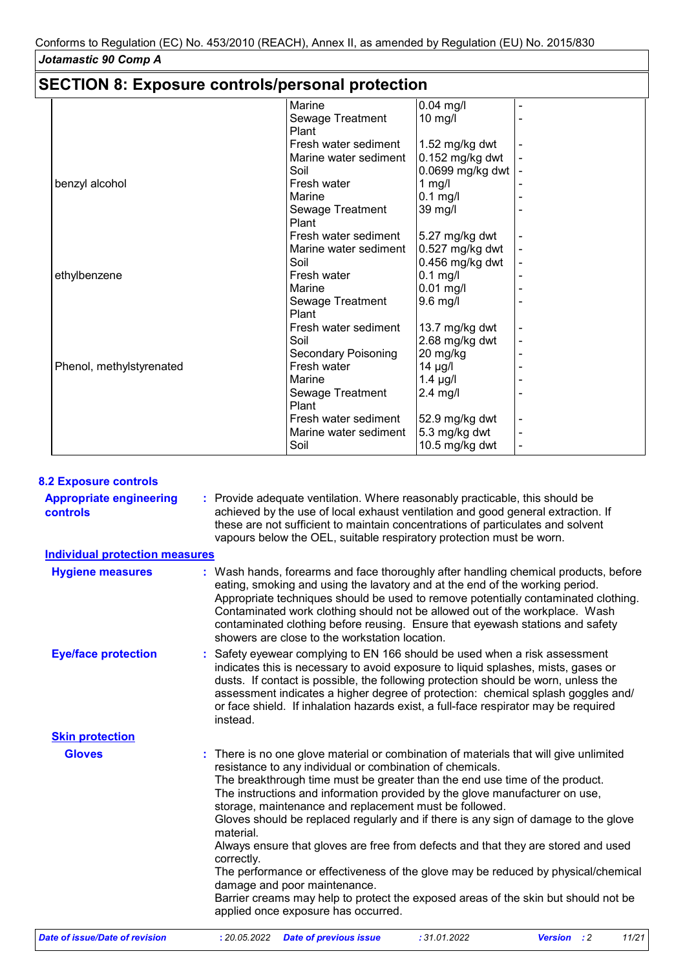# **SECTION 8: Exposure controls/personal protection**

| $\mu$ . The contract of the contract $\mu$ is the contract of the contract of $\mu$ |                       |                   |  |
|-------------------------------------------------------------------------------------|-----------------------|-------------------|--|
|                                                                                     | Marine                | $0.04$ mg/l       |  |
|                                                                                     | Sewage Treatment      | $10$ mg/l         |  |
|                                                                                     | Plant                 |                   |  |
|                                                                                     | Fresh water sediment  | 1.52 mg/kg dwt    |  |
|                                                                                     | Marine water sediment | 0.152 mg/kg dwt   |  |
|                                                                                     | Soil                  | 0.0699 mg/kg dwt  |  |
| benzyl alcohol                                                                      | Fresh water           | 1 $mg/l$          |  |
|                                                                                     | Marine                | $0.1$ mg/l        |  |
|                                                                                     | Sewage Treatment      | 39 mg/l           |  |
|                                                                                     | Plant                 |                   |  |
|                                                                                     | Fresh water sediment  | 5.27 mg/kg dwt    |  |
|                                                                                     | Marine water sediment | $0.527$ mg/kg dwt |  |
|                                                                                     | Soil                  | 0.456 mg/kg dwt   |  |
| ethylbenzene                                                                        | Fresh water           | 0.1 mg/l          |  |
|                                                                                     | Marine                | $0.01$ mg/l       |  |
|                                                                                     | Sewage Treatment      | $9.6$ mg/l        |  |
|                                                                                     | Plant                 |                   |  |
|                                                                                     | Fresh water sediment  | 13.7 mg/kg dwt    |  |
|                                                                                     | Soil                  | 2.68 mg/kg dwt    |  |
|                                                                                     | Secondary Poisoning   | 20 mg/kg          |  |
| Phenol, methylstyrenated                                                            | Fresh water           | $14 \mu g/l$      |  |
|                                                                                     | Marine                | $1.4 \mu g/l$     |  |
|                                                                                     | Sewage Treatment      | $2.4$ mg/l        |  |
|                                                                                     | Plant                 |                   |  |
|                                                                                     | Fresh water sediment  | 52.9 mg/kg dwt    |  |
|                                                                                     | Marine water sediment | 5.3 mg/kg dwt     |  |
|                                                                                     | Soil                  | 10.5 mg/kg dwt    |  |

#### **8.2 Exposure controls**

| 0.4 EXPOSUIU CONTINUIS                     |                                                                                                                                                                                                                                                                                                                                                                                                                                                                                                                                                                                                                                                                                                                                                                                                                                     |  |  |  |  |
|--------------------------------------------|-------------------------------------------------------------------------------------------------------------------------------------------------------------------------------------------------------------------------------------------------------------------------------------------------------------------------------------------------------------------------------------------------------------------------------------------------------------------------------------------------------------------------------------------------------------------------------------------------------------------------------------------------------------------------------------------------------------------------------------------------------------------------------------------------------------------------------------|--|--|--|--|
| <b>Appropriate engineering</b><br>controls | : Provide adequate ventilation. Where reasonably practicable, this should be<br>achieved by the use of local exhaust ventilation and good general extraction. If<br>these are not sufficient to maintain concentrations of particulates and solvent<br>vapours below the OEL, suitable respiratory protection must be worn.                                                                                                                                                                                                                                                                                                                                                                                                                                                                                                         |  |  |  |  |
| <b>Individual protection measures</b>      |                                                                                                                                                                                                                                                                                                                                                                                                                                                                                                                                                                                                                                                                                                                                                                                                                                     |  |  |  |  |
| <b>Hygiene measures</b>                    | : Wash hands, forearms and face thoroughly after handling chemical products, before<br>eating, smoking and using the lavatory and at the end of the working period.<br>Appropriate techniques should be used to remove potentially contaminated clothing.<br>Contaminated work clothing should not be allowed out of the workplace. Wash<br>contaminated clothing before reusing. Ensure that eyewash stations and safety<br>showers are close to the workstation location.                                                                                                                                                                                                                                                                                                                                                         |  |  |  |  |
| <b>Eye/face protection</b>                 | : Safety eyewear complying to EN 166 should be used when a risk assessment<br>indicates this is necessary to avoid exposure to liquid splashes, mists, gases or<br>dusts. If contact is possible, the following protection should be worn, unless the<br>assessment indicates a higher degree of protection: chemical splash goggles and/<br>or face shield. If inhalation hazards exist, a full-face respirator may be required<br>instead.                                                                                                                                                                                                                                                                                                                                                                                        |  |  |  |  |
| <b>Skin protection</b>                     |                                                                                                                                                                                                                                                                                                                                                                                                                                                                                                                                                                                                                                                                                                                                                                                                                                     |  |  |  |  |
| <b>Gloves</b>                              | : There is no one glove material or combination of materials that will give unlimited<br>resistance to any individual or combination of chemicals.<br>The breakthrough time must be greater than the end use time of the product.<br>The instructions and information provided by the glove manufacturer on use,<br>storage, maintenance and replacement must be followed.<br>Gloves should be replaced regularly and if there is any sign of damage to the glove<br>material.<br>Always ensure that gloves are free from defects and that they are stored and used<br>correctly.<br>The performance or effectiveness of the glove may be reduced by physical/chemical<br>damage and poor maintenance.<br>Barrier creams may help to protect the exposed areas of the skin but should not be<br>applied once exposure has occurred. |  |  |  |  |
| Date of issue/Date of revision             | 11/21<br>: 20.05.2022<br><b>Date of previous issue</b><br>: 31.01.2022<br><b>Version</b><br>$\cdot$ :2                                                                                                                                                                                                                                                                                                                                                                                                                                                                                                                                                                                                                                                                                                                              |  |  |  |  |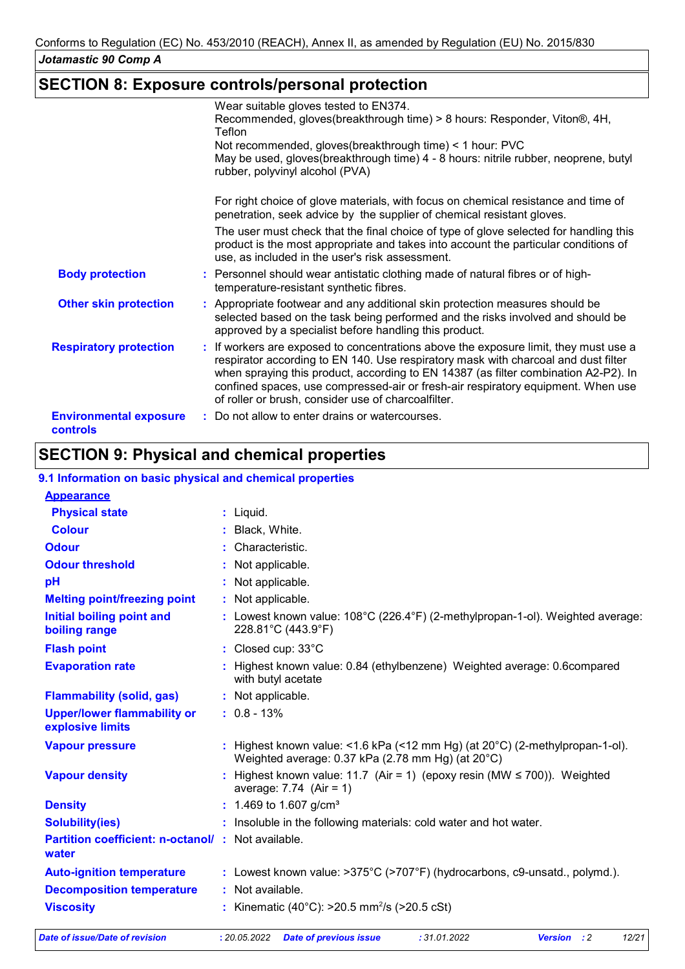# **SECTION 8: Exposure controls/personal protection**

|                                           | Wear suitable gloves tested to EN374.                                                                                                                                                                                                                                                                                                                                                                        |
|-------------------------------------------|--------------------------------------------------------------------------------------------------------------------------------------------------------------------------------------------------------------------------------------------------------------------------------------------------------------------------------------------------------------------------------------------------------------|
|                                           | Recommended, gloves(breakthrough time) > 8 hours: Responder, Viton®, 4H,<br>Teflon                                                                                                                                                                                                                                                                                                                           |
|                                           | Not recommended, gloves(breakthrough time) < 1 hour: PVC                                                                                                                                                                                                                                                                                                                                                     |
|                                           | May be used, gloves(breakthrough time) 4 - 8 hours: nitrile rubber, neoprene, butyl<br>rubber, polyvinyl alcohol (PVA)                                                                                                                                                                                                                                                                                       |
|                                           | For right choice of glove materials, with focus on chemical resistance and time of<br>penetration, seek advice by the supplier of chemical resistant gloves.                                                                                                                                                                                                                                                 |
|                                           | The user must check that the final choice of type of glove selected for handling this<br>product is the most appropriate and takes into account the particular conditions of<br>use, as included in the user's risk assessment.                                                                                                                                                                              |
| <b>Body protection</b>                    | : Personnel should wear antistatic clothing made of natural fibres or of high-<br>temperature-resistant synthetic fibres.                                                                                                                                                                                                                                                                                    |
| <b>Other skin protection</b>              | : Appropriate footwear and any additional skin protection measures should be<br>selected based on the task being performed and the risks involved and should be<br>approved by a specialist before handling this product.                                                                                                                                                                                    |
| <b>Respiratory protection</b>             | : If workers are exposed to concentrations above the exposure limit, they must use a<br>respirator according to EN 140. Use respiratory mask with charcoal and dust filter<br>when spraying this product, according to EN 14387 (as filter combination A2-P2). In<br>confined spaces, use compressed-air or fresh-air respiratory equipment. When use<br>of roller or brush, consider use of charcoalfilter. |
| <b>Environmental exposure</b><br>controls | : Do not allow to enter drains or watercourses.                                                                                                                                                                                                                                                                                                                                                              |

# **SECTION 9: Physical and chemical properties**

#### **9.1 Information on basic physical and chemical properties**

| <b>Appearance</b>                                                 |                                                                                                                                             |  |  |  |
|-------------------------------------------------------------------|---------------------------------------------------------------------------------------------------------------------------------------------|--|--|--|
| <b>Physical state</b>                                             | $:$ Liquid.                                                                                                                                 |  |  |  |
| <b>Colour</b>                                                     | : Black, White.                                                                                                                             |  |  |  |
| <b>Odour</b>                                                      | : Characteristic.                                                                                                                           |  |  |  |
| <b>Odour threshold</b>                                            | : Not applicable.                                                                                                                           |  |  |  |
| pH                                                                | : Not applicable.                                                                                                                           |  |  |  |
| <b>Melting point/freezing point</b>                               | : Not applicable.                                                                                                                           |  |  |  |
| Initial boiling point and<br>boiling range                        | : Lowest known value: $108^{\circ}$ C (226.4 $^{\circ}$ F) (2-methylpropan-1-ol). Weighted average:<br>228.81°C (443.9°F)                   |  |  |  |
| <b>Flash point</b>                                                | : Closed cup: 33°C                                                                                                                          |  |  |  |
| <b>Evaporation rate</b>                                           | : Highest known value: 0.84 (ethylbenzene) Weighted average: 0.6 compared<br>with butyl acetate                                             |  |  |  |
| <b>Flammability (solid, gas)</b>                                  | : Not applicable.                                                                                                                           |  |  |  |
| <b>Upper/lower flammability or</b><br>explosive limits            | $: 0.8 - 13%$                                                                                                                               |  |  |  |
| <b>Vapour pressure</b>                                            | : Highest known value: <1.6 kPa (<12 mm Hg) (at $20^{\circ}$ C) (2-methylpropan-1-ol).<br>Weighted average: 0.37 kPa (2.78 mm Hg) (at 20°C) |  |  |  |
| <b>Vapour density</b>                                             | : Highest known value: 11.7 (Air = 1) (epoxy resin (MW $\leq$ 700)). Weighted<br>average: $7.74$ (Air = 1)                                  |  |  |  |
| <b>Density</b>                                                    | : 1.469 to 1.607 g/cm <sup>3</sup>                                                                                                          |  |  |  |
| <b>Solubility(ies)</b>                                            | : Insoluble in the following materials: cold water and hot water.                                                                           |  |  |  |
| <b>Partition coefficient: n-octanol/: Not available.</b><br>water |                                                                                                                                             |  |  |  |
| <b>Auto-ignition temperature</b>                                  | : Lowest known value: >375°C (>707°F) (hydrocarbons, c9-unsatd., polymd.).                                                                  |  |  |  |
| <b>Decomposition temperature</b>                                  | : Not available.                                                                                                                            |  |  |  |
| <b>Viscosity</b>                                                  | : Kinematic (40°C): >20.5 mm <sup>2</sup> /s (>20.5 cSt)                                                                                    |  |  |  |
| <b>Date of issue/Date of revision</b>                             | :31.01.2022<br><b>Version</b> : 2<br>12/21<br>: 20.05.2022<br><b>Date of previous issue</b>                                                 |  |  |  |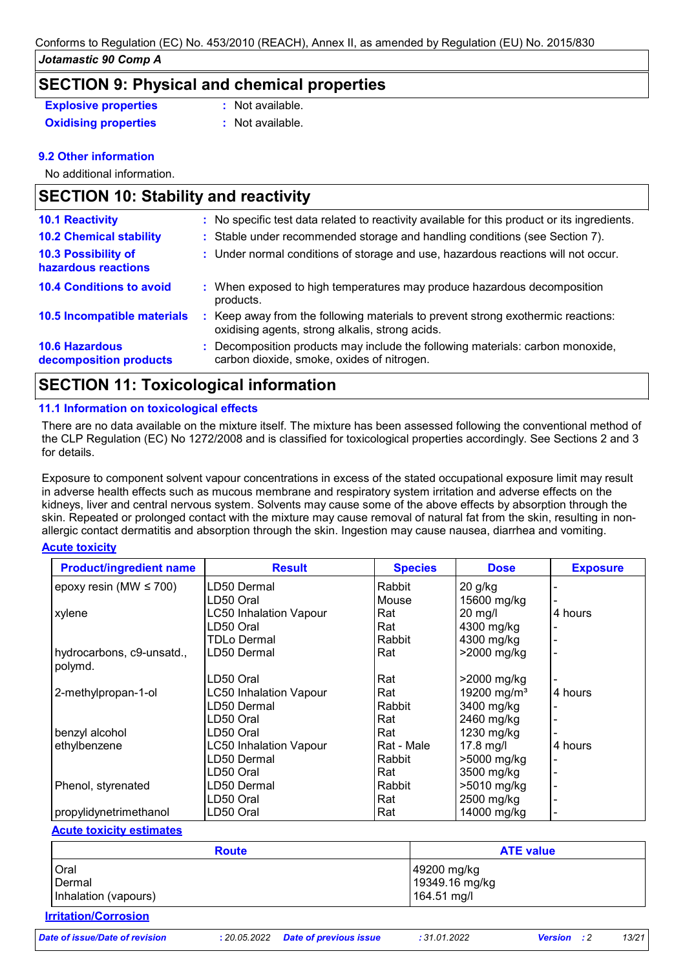### **SECTION 9: Physical and chemical properties**

| <b>Explosive properties</b> |
|-----------------------------|
| Oxidising properties        |

**Explosive properties :** Not available.

**Oxidising properties :** Not available.

### **9.2 Other information**

No additional information.

| <b>SECTION 10: Stability and reactivity</b>     |    |                                                                                                                                   |  |
|-------------------------------------------------|----|-----------------------------------------------------------------------------------------------------------------------------------|--|
| <b>10.1 Reactivity</b>                          |    | : No specific test data related to reactivity available for this product or its ingredients.                                      |  |
| <b>10.2 Chemical stability</b>                  |    | : Stable under recommended storage and handling conditions (see Section 7).                                                       |  |
| 10.3 Possibility of<br>hazardous reactions      |    | : Under normal conditions of storage and use, hazardous reactions will not occur.                                                 |  |
| <b>10.4 Conditions to avoid</b>                 | ÷. | When exposed to high temperatures may produce hazardous decomposition<br>products.                                                |  |
| 10.5 Incompatible materials                     | ÷. | Keep away from the following materials to prevent strong exothermic reactions:<br>oxidising agents, strong alkalis, strong acids. |  |
| <b>10.6 Hazardous</b><br>decomposition products |    | Decomposition products may include the following materials: carbon monoxide,<br>carbon dioxide, smoke, oxides of nitrogen.        |  |

# **SECTION 11: Toxicological information**

#### **11.1 Information on toxicological effects**

There are no data available on the mixture itself. The mixture has been assessed following the conventional method of the CLP Regulation (EC) No 1272/2008 and is classified for toxicological properties accordingly. See Sections 2 and 3 for details.

Exposure to component solvent vapour concentrations in excess of the stated occupational exposure limit may result in adverse health effects such as mucous membrane and respiratory system irritation and adverse effects on the kidneys, liver and central nervous system. Solvents may cause some of the above effects by absorption through the skin. Repeated or prolonged contact with the mixture may cause removal of natural fat from the skin, resulting in nonallergic contact dermatitis and absorption through the skin. Ingestion may cause nausea, diarrhea and vomiting.

#### **Acute toxicity**

| <b>Product/ingredient name</b> | <b>Result</b>                 | <b>Species</b> | <b>Dose</b>             | <b>Exposure</b> |
|--------------------------------|-------------------------------|----------------|-------------------------|-----------------|
| epoxy resin (MW $\leq$ 700)    | LD50 Dermal                   | Rabbit         | $20$ g/kg               |                 |
|                                | LD50 Oral                     | Mouse          | 15600 mg/kg             |                 |
| xylene                         | <b>LC50 Inhalation Vapour</b> | Rat            | $20$ mg/l               | 4 hours         |
|                                | LD50 Oral                     | Rat            | 4300 mg/kg              |                 |
|                                | TDLo Dermal                   | Rabbit         | 4300 mg/kg              |                 |
| hydrocarbons, c9-unsatd.,      | LD50 Dermal                   | Rat            | >2000 mg/kg             |                 |
| polymd.                        |                               |                |                         |                 |
|                                | LD50 Oral                     | Rat            | >2000 mg/kg             |                 |
| 2-methylpropan-1-ol            | <b>LC50 Inhalation Vapour</b> | Rat            | 19200 mg/m <sup>3</sup> | 4 hours         |
|                                | LD50 Dermal                   | Rabbit         | 3400 mg/kg              |                 |
|                                | LD50 Oral                     | Rat            | 2460 mg/kg              |                 |
| benzyl alcohol                 | LD50 Oral                     | Rat            | 1230 mg/kg              |                 |
| ethylbenzene                   | <b>LC50 Inhalation Vapour</b> | Rat - Male     | 17.8 mg/l               | 4 hours         |
|                                | LD50 Dermal                   | Rabbit         | >5000 mg/kg             |                 |
|                                | LD50 Oral                     | Rat            | 3500 mg/kg              |                 |
| Phenol, styrenated             | LD50 Dermal                   | Rabbit         | >5010 mg/kg             |                 |
|                                | LD50 Oral                     | Rat            | 2500 mg/kg              |                 |
| propylidynetrimethanol         | LD50 Oral                     | Rat            | 14000 mg/kg             |                 |

#### **Acute toxicity estimates**

| <b>Route</b>         | <b>ATE value</b> |
|----------------------|------------------|
| Oral                 | 49200 mg/kg      |
| Dermal               | 19349.16 mg/kg   |
| Inhalation (vapours) | 164.51 mg/l      |

### **Irritation/Corrosion**

*Date of issue/Date of revision* **:** *20.05.2022 Date of previous issue : 31.01.2022 Version : 2 13/21*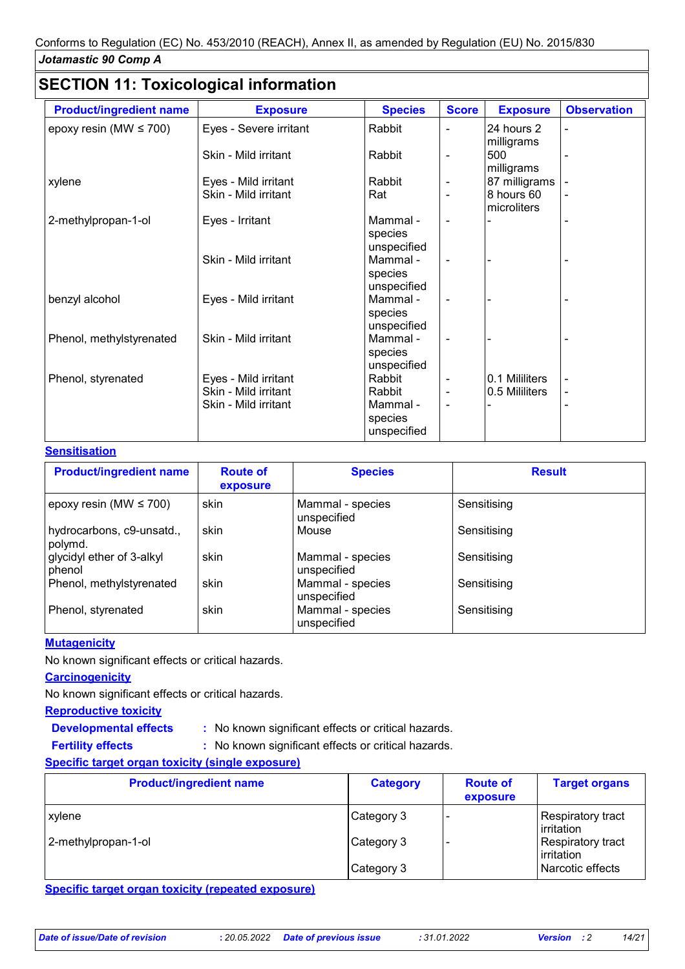# **SECTION 11: Toxicological information**

| <b>Product/ingredient name</b> | <b>Exposure</b>                                                      | <b>Species</b>                                         | <b>Score</b>                                                     | <b>Exposure</b>                  | <b>Observation</b>               |
|--------------------------------|----------------------------------------------------------------------|--------------------------------------------------------|------------------------------------------------------------------|----------------------------------|----------------------------------|
| epoxy resin (MW $\leq$ 700)    | Eyes - Severe irritant                                               | Rabbit                                                 | $\blacksquare$                                                   | 24 hours 2<br>milligrams         | $\blacksquare$                   |
|                                | Skin - Mild irritant                                                 | Rabbit                                                 | ۰                                                                | 500<br>milligrams                |                                  |
| xylene                         | Eyes - Mild irritant                                                 | Rabbit                                                 | $\blacksquare$                                                   | 87 milligrams                    | $\qquad \qquad \blacksquare$     |
|                                | Skin - Mild irritant                                                 | Rat                                                    | $\blacksquare$                                                   | 8 hours 60<br>microliters        | $\blacksquare$                   |
| 2-methylpropan-1-ol            | Eyes - Irritant                                                      | Mammal -<br>species<br>unspecified                     | $\blacksquare$                                                   |                                  |                                  |
|                                | Skin - Mild irritant                                                 | Mammal -<br>species<br>unspecified                     | $\blacksquare$                                                   |                                  |                                  |
| benzyl alcohol                 | Eyes - Mild irritant                                                 | Mammal -<br>species<br>unspecified                     | $\blacksquare$                                                   |                                  |                                  |
| Phenol, methylstyrenated       | Skin - Mild irritant                                                 | Mammal -<br>species<br>unspecified                     | $\blacksquare$                                                   |                                  |                                  |
| Phenol, styrenated             | Eyes - Mild irritant<br>Skin - Mild irritant<br>Skin - Mild irritant | Rabbit<br>Rabbit<br>Mammal -<br>species<br>unspecified | $\qquad \qquad \blacksquare$<br>$\blacksquare$<br>$\blacksquare$ | 0.1 Mililiters<br>0.5 Mililiters | $\blacksquare$<br>$\overline{a}$ |

#### **Sensitisation**

| <b>Product/ingredient name</b>       | <b>Route of</b><br>exposure | <b>Species</b>                  | <b>Result</b> |
|--------------------------------------|-----------------------------|---------------------------------|---------------|
| epoxy resin (MW $\leq$ 700)          | skin                        | Mammal - species<br>unspecified | Sensitising   |
| hydrocarbons, c9-unsatd.,<br>polymd. | skin                        | Mouse                           | Sensitising   |
| glycidyl ether of 3-alkyl<br>phenol  | skin                        | Mammal - species<br>unspecified | Sensitising   |
| Phenol, methylstyrenated             | skin                        | Mammal - species<br>unspecified | Sensitising   |
| Phenol, styrenated                   | skin                        | Mammal - species<br>unspecified | Sensitising   |

#### **Mutagenicity**

No known significant effects or critical hazards.

#### **Carcinogenicity**

**Fertility effects :**

No known significant effects or critical hazards.

#### **Reproductive toxicity**

**Developmental effects :**

: No known significant effects or critical hazards.

: No known significant effects or critical hazards.

#### **Specific target organ toxicity (single exposure)**

| <b>Product/ingredient name</b> | <b>Category</b> | <b>Route of</b><br>exposure | <b>Target organs</b>            |
|--------------------------------|-----------------|-----------------------------|---------------------------------|
| <b>xylene</b>                  | ∣Category 3     |                             | Respiratory tract<br>irritation |
| 2-methylpropan-1-ol            | Category 3      |                             | Respiratory tract<br>irritation |
|                                | Category 3      |                             | Narcotic effects                |

**Specific target organ toxicity (repeated exposure)**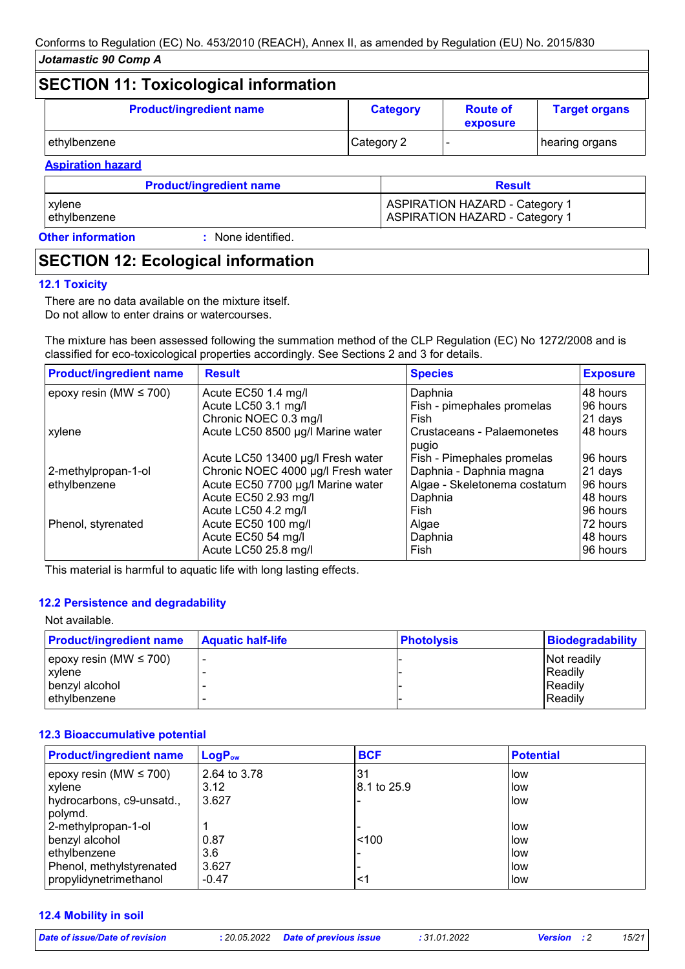# **SECTION 11: Toxicological information**

| <b>Product/ingredient name</b> | <b>Category</b> | <b>Route of</b><br>exposure | <b>Target organs</b> |
|--------------------------------|-----------------|-----------------------------|----------------------|
| ethylbenzene                   | Category 2      |                             | ∣hearing organs      |

### **Aspiration hazard Product/ingredient name Result**

xylene Aspirance Aspirance Aspirance ASPIRATION HAZARD - Category 1 ethylbenzene **ASPIRATION HAZARD** - Category 1

**Other information :**

# : None identified.

# **SECTION 12: Ecological information**

#### **12.1 Toxicity**

There are no data available on the mixture itself. Do not allow to enter drains or watercourses.

The mixture has been assessed following the summation method of the CLP Regulation (EC) No 1272/2008 and is classified for eco-toxicological properties accordingly. See Sections 2 and 3 for details.

| <b>Product/ingredient name</b> | <b>Result</b>                      | <b>Species</b>                      | <b>Exposure</b> |
|--------------------------------|------------------------------------|-------------------------------------|-----------------|
| epoxy resin (MW $\leq$ 700)    | Acute EC50 1.4 mg/l                | Daphnia                             | 48 hours        |
|                                | Acute LC50 3.1 mg/l                | Fish - pimephales promelas          | 96 hours        |
|                                | Chronic NOEC 0.3 mg/l              | Fish                                | 21 days         |
| xylene                         | Acute LC50 8500 µg/l Marine water  | Crustaceans - Palaemonetes<br>pugio | 48 hours        |
|                                | Acute LC50 13400 µg/l Fresh water  | Fish - Pimephales promelas          | 96 hours        |
| 2-methylpropan-1-ol            | Chronic NOEC 4000 µg/l Fresh water | Daphnia - Daphnia magna             | 21 days         |
| ethylbenzene                   | Acute EC50 7700 µg/l Marine water  | Algae - Skeletonema costatum        | 96 hours        |
|                                | Acute EC50 2.93 mg/l               | Daphnia                             | 48 hours        |
|                                | Acute LC50 4.2 mg/l                | Fish                                | 96 hours        |
| Phenol, styrenated             | Acute EC50 100 mg/l                | Algae                               | 72 hours        |
|                                | Acute EC50 54 mg/l                 | Daphnia                             | 48 hours        |
|                                | Acute LC50 25.8 mg/l               | Fish                                | 96 hours        |

This material is harmful to aquatic life with long lasting effects.

#### **12.2 Persistence and degradability**

| Not available.                 |                          |                   |                         |
|--------------------------------|--------------------------|-------------------|-------------------------|
| <b>Product/ingredient name</b> | <b>Aquatic half-life</b> | <b>Photolysis</b> | <b>Biodegradability</b> |
| epoxy resin (MW $\leq$ 700)    |                          |                   | Not readily             |
| xylene                         |                          |                   | Readily                 |
| benzyl alcohol                 |                          |                   | Readily                 |
| ethylbenzene                   |                          |                   | Readily                 |

#### **12.3 Bioaccumulative potential**

| <b>Product/ingredient name</b> | $\mathsf{LogP}_\mathsf{ow}$ | <b>BCF</b>  | <b>Potential</b> |
|--------------------------------|-----------------------------|-------------|------------------|
| epoxy resin (MW $\leq$ 700)    | 2.64 to 3.78                | 31          | <b>low</b>       |
| xylene                         | 3.12                        | 8.1 to 25.9 | i low            |
| hydrocarbons, c9-unsatd.,      | 3.627                       |             | llow             |
| polymd.                        |                             |             |                  |
| 2-methylpropan-1-ol            |                             |             | l low            |
| benzyl alcohol                 | 0.87                        | < 100       | l low            |
| ethylbenzene                   | 3.6                         |             | l low            |
| Phenol, methylstyrenated       | 3.627                       |             | l low            |
| propylidynetrimethanol         | $-0.47$                     | <1          | i low            |

#### **12.4 Mobility in soil**

*Date of issue/Date of revision* **:** *20.05.2022 Date of previous issue : 31.01.2022 Version : 2 15/21*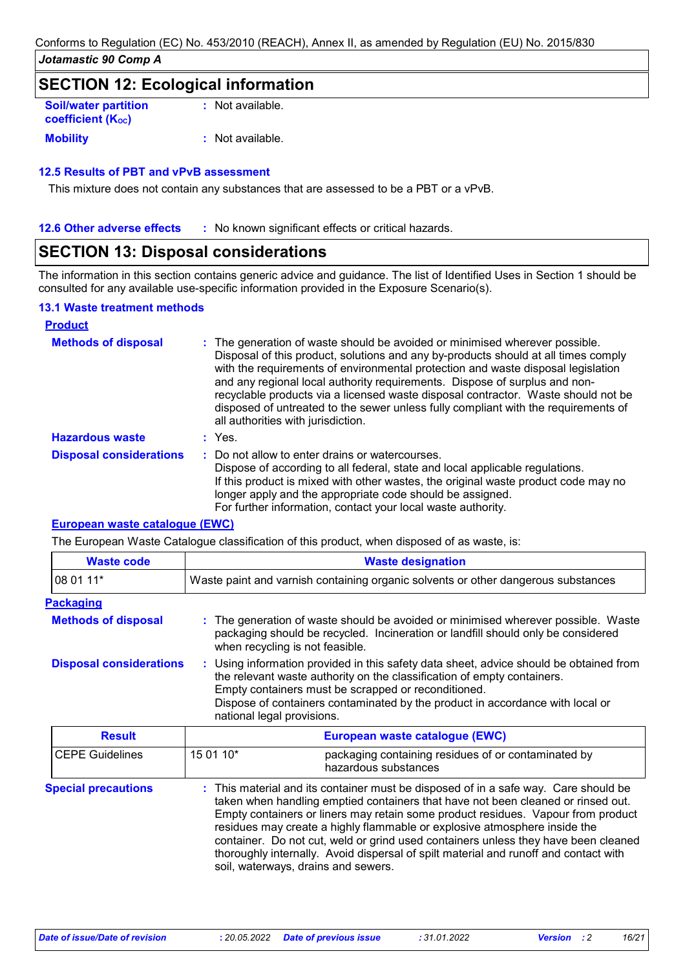### **SECTION 12: Ecological information**

| <b>Soil/water partition</b><br><b>coefficient (Koc)</b> | : Not available. |
|---------------------------------------------------------|------------------|
| <b>Mobility</b>                                         | : Not available. |

#### **12.5 Results of PBT and vPvB assessment**

This mixture does not contain any substances that are assessed to be a PBT or a vPvB.

**12.6 Other adverse effects** : No known significant effects or critical hazards.

## **SECTION 13: Disposal considerations**

The information in this section contains generic advice and guidance. The list of Identified Uses in Section 1 should be consulted for any available use-specific information provided in the Exposure Scenario(s).

#### **13.1 Waste treatment methods**

| <b>Product</b>                 |                                                                                                                                                                                                                                                                                                                                                                                                                                                                                                                                                      |
|--------------------------------|------------------------------------------------------------------------------------------------------------------------------------------------------------------------------------------------------------------------------------------------------------------------------------------------------------------------------------------------------------------------------------------------------------------------------------------------------------------------------------------------------------------------------------------------------|
| <b>Methods of disposal</b>     | : The generation of waste should be avoided or minimised wherever possible.<br>Disposal of this product, solutions and any by-products should at all times comply<br>with the requirements of environmental protection and waste disposal legislation<br>and any regional local authority requirements. Dispose of surplus and non-<br>recyclable products via a licensed waste disposal contractor. Waste should not be<br>disposed of untreated to the sewer unless fully compliant with the requirements of<br>all authorities with jurisdiction. |
| <b>Hazardous waste</b>         | $:$ Yes.                                                                                                                                                                                                                                                                                                                                                                                                                                                                                                                                             |
| <b>Disposal considerations</b> | : Do not allow to enter drains or watercourses.<br>Dispose of according to all federal, state and local applicable regulations.<br>If this product is mixed with other wastes, the original waste product code may no<br>longer apply and the appropriate code should be assigned.<br>For further information, contact your local waste authority.                                                                                                                                                                                                   |

#### **European waste catalogue (EWC)**

The European Waste Catalogue classification of this product, when disposed of as waste, is:

| <b>Waste code</b>              | <b>Waste designation</b>                                                                                                                                                                                                                                                                                                                |  |  |
|--------------------------------|-----------------------------------------------------------------------------------------------------------------------------------------------------------------------------------------------------------------------------------------------------------------------------------------------------------------------------------------|--|--|
| 08 01 11*                      | Waste paint and varnish containing organic solvents or other dangerous substances                                                                                                                                                                                                                                                       |  |  |
| <b>Packaging</b>               |                                                                                                                                                                                                                                                                                                                                         |  |  |
| <b>Methods of disposal</b>     | : The generation of waste should be avoided or minimised wherever possible. Waste<br>packaging should be recycled. Incineration or landfill should only be considered<br>when recycling is not feasible.                                                                                                                                |  |  |
| <b>Disposal considerations</b> | : Using information provided in this safety data sheet, advice should be obtained from<br>the relevant waste authority on the classification of empty containers.<br>Empty containers must be scrapped or reconditioned.<br>Dispose of containers contaminated by the product in accordance with local or<br>national legal provisions. |  |  |
| Result                         | <b>Furonean waste catalogue (FWC)</b>                                                                                                                                                                                                                                                                                                   |  |  |

| <b>Result</b>              |           | European waste catalogue (EWC)                                                                                                                                                                                                                                                                                                                                                                                                                                                                                                                                |  |  |
|----------------------------|-----------|---------------------------------------------------------------------------------------------------------------------------------------------------------------------------------------------------------------------------------------------------------------------------------------------------------------------------------------------------------------------------------------------------------------------------------------------------------------------------------------------------------------------------------------------------------------|--|--|
| CEPE Guidelines            | 15 01 10* | packaging containing residues of or contaminated by<br>hazardous substances                                                                                                                                                                                                                                                                                                                                                                                                                                                                                   |  |  |
| <b>Special precautions</b> |           | : This material and its container must be disposed of in a safe way. Care should be<br>taken when handling emptied containers that have not been cleaned or rinsed out.<br>Empty containers or liners may retain some product residues. Vapour from product<br>residues may create a highly flammable or explosive atmosphere inside the<br>container. Do not cut, weld or grind used containers unless they have been cleaned<br>thoroughly internally. Avoid dispersal of spilt material and runoff and contact with<br>soil, waterways, drains and sewers. |  |  |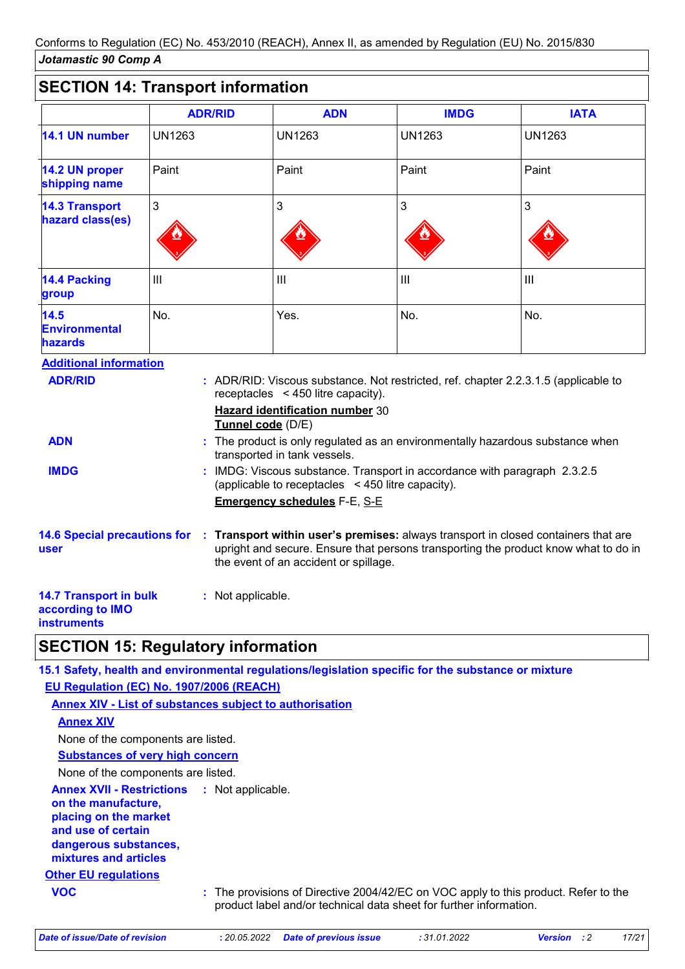# **SECTION 14: Transport information**

|                                                  | <b>ADR/RID</b> | <b>ADN</b>     | <b>IMDG</b>    | <b>IATA</b>   |
|--------------------------------------------------|----------------|----------------|----------------|---------------|
| 14.1 UN number                                   | <b>UN1263</b>  | <b>UN1263</b>  | <b>UN1263</b>  | <b>UN1263</b> |
| 14.2 UN proper<br>shipping name                  | Paint          | Paint          | Paint          | Paint         |
| <b>14.3 Transport</b><br>hazard class(es)        | 3              | 3              | 3              | 3             |
| <b>14.4 Packing</b><br>group                     | $\mathbf{III}$ | $\mathbf{III}$ | $\mathbf{III}$ | III           |
| $14.5$<br><b>Environmental</b><br><b>hazards</b> | No.            | Yes.           | No.            | No.           |
| <b>Additional information</b>                    |                |                |                |               |

| <b>ADR/RID</b>                                    | : ADR/RID: Viscous substance. Not restricted, ref. chapter 2.2.3.1.5 (applicable to                                                                                                                                |
|---------------------------------------------------|--------------------------------------------------------------------------------------------------------------------------------------------------------------------------------------------------------------------|
|                                                   | receptacles $\leq$ 450 litre capacity).                                                                                                                                                                            |
|                                                   | <b>Hazard identification number 30</b><br>Tunnel code (D/E)                                                                                                                                                        |
| <b>ADN</b>                                        | : The product is only regulated as an environmentally hazardous substance when<br>transported in tank vessels.                                                                                                     |
| <b>IMDG</b>                                       | : IMDG: Viscous substance. Transport in accordance with paragraph 2.3.2.5<br>(applicable to receptacles $\leq$ 450 litre capacity).                                                                                |
|                                                   | <b>Emergency schedules F-E, S-E</b>                                                                                                                                                                                |
| <b>14.6 Special precautions for</b><br>user       | : Transport within user's premises: always transport in closed containers that are<br>upright and secure. Ensure that persons transporting the product know what to do in<br>the event of an accident or spillage. |
| <b>14.7 Transport in bulk</b><br>according to IMO | : Not applicable.                                                                                                                                                                                                  |

**instruments**

### **SECTION 15: Regulatory information**

**15.1 Safety, health and environmental regulations/legislation specific for the substance or mixture**

**EU Regulation (EC) No. 1907/2006 (REACH)**

**Other EU regulations Annex XVII - Restrictions on the manufacture, placing on the market and use of certain dangerous substances, mixtures and articles : Annex XIV - List of substances subject to authorisation Annex XIV Substances of very high concern** None of the components are listed. None of the components are listed. **VOC :** The provisions of Directive 2004/42/EC on VOC apply to this product. Refer to the product label and/or technical data sheet for further information.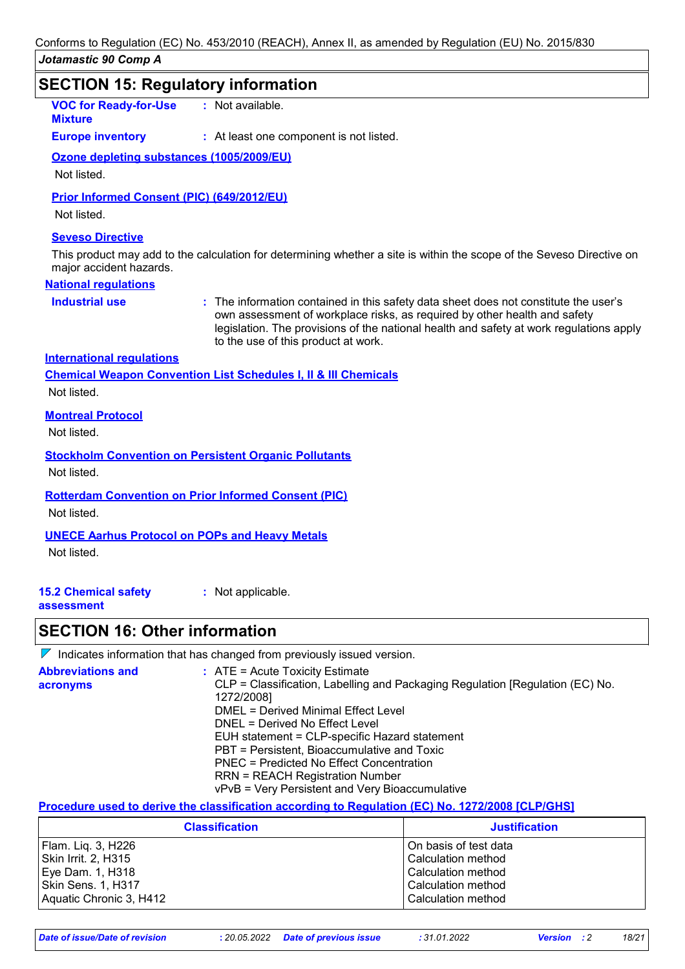## *Jotamastic 90 Comp A* **SECTION 15: Regulatory information Industrial use :** The information contained in this safety data sheet does not constitute the user's own assessment of workplace risks, as required by other health and safety legislation. The provisions of the national health and safety at work regulations apply to the use of this product at work. **VOC for Ready-for-Use Mixture :** Not available. **National regulations Europe inventory :** At least one component is not listed. **International regulations Seveso Directive** This product may add to the calculation for determining whether a site is within the scope of the Seveso Directive on major accident hazards. **Chemical Weapon Convention List Schedules I, II & III Chemicals Montreal Protocol** Not listed. **Stockholm Convention on Persistent Organic Pollutants** Not listed. **Rotterdam Convention on Prior Informed Consent (PIC)** Not listed. **UNECE Aarhus Protocol on POPs and Heavy Metals Ozone depleting substances (1005/2009/EU)** Not listed. **Prior Informed Consent (PIC) (649/2012/EU)** Not listed. Not listed.

Not listed.

**15.2 Chemical safety :** Not applicable.

**assessment**

### **SECTION 16: Other information**

 $\nabla$  Indicates information that has changed from previously issued version.

| <b>Abbreviations and</b> | $\therefore$ ATE = Acute Toxicity Estimate                                    |
|--------------------------|-------------------------------------------------------------------------------|
| acronyms                 | CLP = Classification, Labelling and Packaging Regulation [Regulation (EC) No. |
|                          | 1272/2008]                                                                    |
|                          | DMEL = Derived Minimal Effect Level                                           |
|                          | DNEL = Derived No Effect Level                                                |
|                          | EUH statement = CLP-specific Hazard statement                                 |
|                          | PBT = Persistent, Bioaccumulative and Toxic                                   |
|                          | PNEC = Predicted No Effect Concentration                                      |
|                          | <b>RRN = REACH Registration Number</b>                                        |
|                          | vPvB = Very Persistent and Very Bioaccumulative                               |

**Procedure used to derive the classification according to Regulation (EC) No. 1272/2008 [CLP/GHS]**

| <b>Classification</b>   | <b>Justification</b>    |
|-------------------------|-------------------------|
| Flam. Liq. 3, H226      | l On basis of test data |
| Skin Irrit. 2, H315     | Calculation method      |
| Eye Dam. 1, H318        | Calculation method      |
| Skin Sens. 1, H317      | Calculation method      |
| Aquatic Chronic 3, H412 | Calculation method      |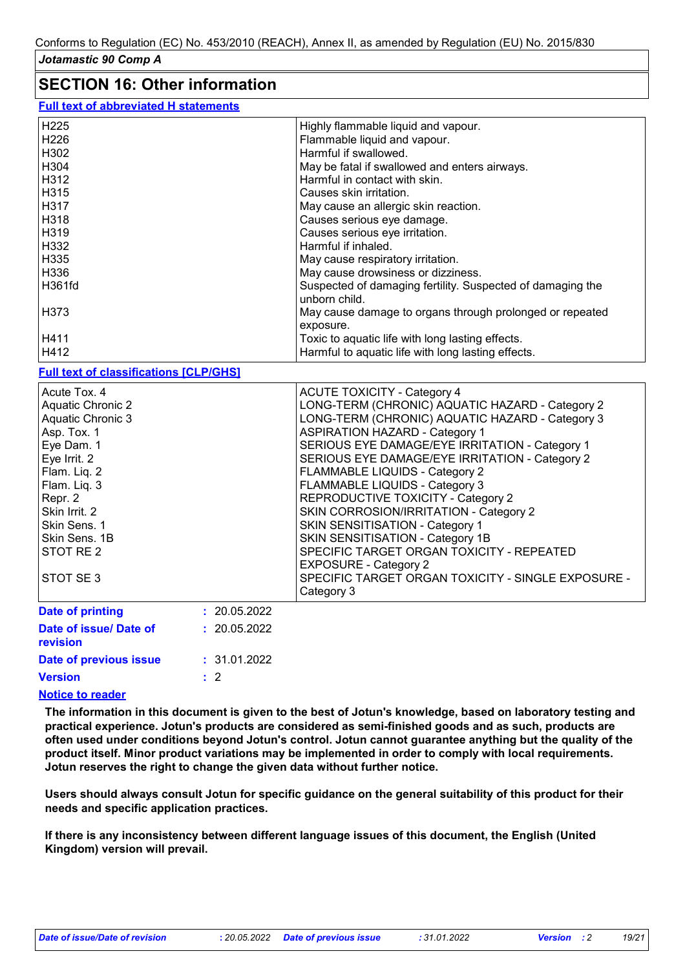## **SECTION 16: Other information**

| <b>Full text of abbreviated H statements</b> |  |
|----------------------------------------------|--|
|----------------------------------------------|--|

| H225   | Highly flammable liquid and vapour.                                         |
|--------|-----------------------------------------------------------------------------|
| H226   | Flammable liquid and vapour.                                                |
| H302   | Harmful if swallowed.                                                       |
| H304   | May be fatal if swallowed and enters airways.                               |
| H312   | Harmful in contact with skin.                                               |
| H315   | Causes skin irritation.                                                     |
| H317   | May cause an allergic skin reaction.                                        |
| H318   | Causes serious eye damage.                                                  |
| H319   | Causes serious eye irritation.                                              |
| H332   | Harmful if inhaled.                                                         |
| H335   | May cause respiratory irritation.                                           |
| H336   | May cause drowsiness or dizziness.                                          |
| H361fd | Suspected of damaging fertility. Suspected of damaging the<br>unborn child. |
| H373   | May cause damage to organs through prolonged or repeated                    |
|        | exposure.                                                                   |
| H411   | Toxic to aquatic life with long lasting effects.                            |
| H412   | Harmful to aquatic life with long lasting effects.                          |
|        |                                                                             |

#### **Full text of classifications [CLP/GHS]**

| Acute Tox. 4<br><b>Aquatic Chronic 2</b><br>Aquatic Chronic 3 |              | <b>ACUTE TOXICITY - Category 4</b><br>LONG-TERM (CHRONIC) AQUATIC HAZARD - Category 2<br>LONG-TERM (CHRONIC) AQUATIC HAZARD - Category 3 |
|---------------------------------------------------------------|--------------|------------------------------------------------------------------------------------------------------------------------------------------|
| Asp. Tox. 1<br>Eye Dam. 1                                     |              | <b>ASPIRATION HAZARD - Category 1</b><br>SERIOUS EYE DAMAGE/EYE IRRITATION - Category 1                                                  |
| Eye Irrit. 2<br>Flam. Liq. 2                                  |              | SERIOUS EYE DAMAGE/EYE IRRITATION - Category 2<br>FLAMMABLE LIQUIDS - Category 2                                                         |
| Flam. Liq. 3<br>Repr. 2                                       |              | FLAMMABLE LIQUIDS - Category 3<br>REPRODUCTIVE TOXICITY - Category 2                                                                     |
| Skin Irrit. 2<br>Skin Sens, 1                                 |              | SKIN CORROSION/IRRITATION - Category 2<br>SKIN SENSITISATION - Category 1                                                                |
| Skin Sens, 1B<br>STOT RE 2                                    |              | SKIN SENSITISATION - Category 1B<br>SPECIFIC TARGET ORGAN TOXICITY - REPEATED<br><b>EXPOSURE - Category 2</b>                            |
| STOT SE3                                                      |              | SPECIFIC TARGET ORGAN TOXICITY - SINGLE EXPOSURE -<br>Category 3                                                                         |
| Date of printing                                              | : 20.05.2022 |                                                                                                                                          |
| Date of issue/ Date of                                        | : 20.05.2022 |                                                                                                                                          |

| <b>revision</b>        |              |
|------------------------|--------------|
| Date of previous issue | : 31.01.2022 |
| Version                | $\pm$ 2      |

#### **Notice to reader**

**The information in this document is given to the best of Jotun's knowledge, based on laboratory testing and practical experience. Jotun's products are considered as semi-finished goods and as such, products are often used under conditions beyond Jotun's control. Jotun cannot guarantee anything but the quality of the product itself. Minor product variations may be implemented in order to comply with local requirements. Jotun reserves the right to change the given data without further notice.**

**Users should always consult Jotun for specific guidance on the general suitability of this product for their needs and specific application practices.**

**If there is any inconsistency between different language issues of this document, the English (United Kingdom) version will prevail.**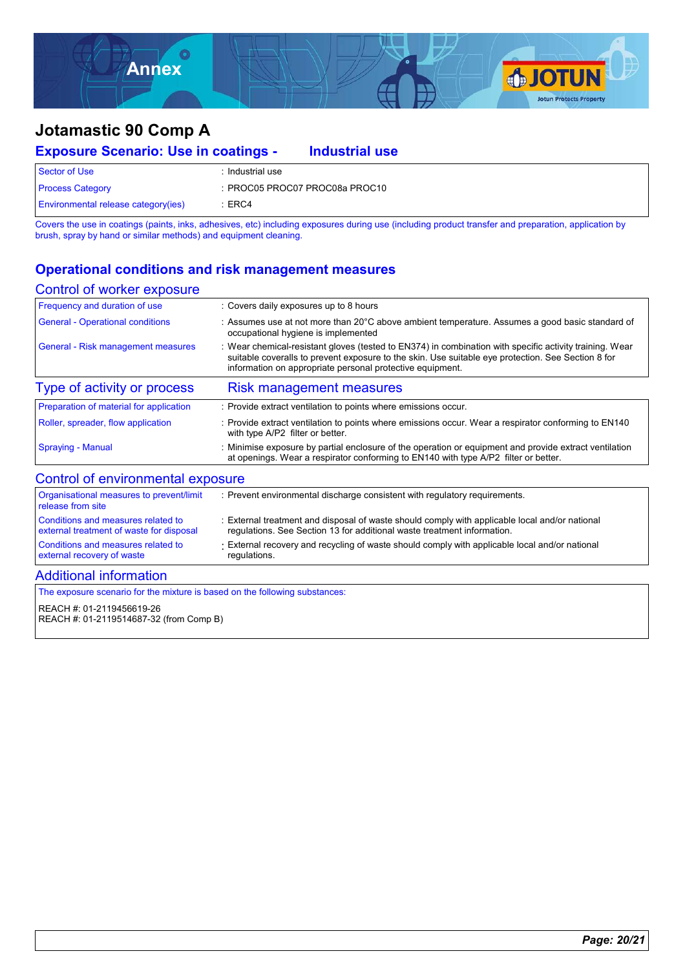

| <b>Exposure Scenario: Use in coatings -</b> |                  | <b>Industrial use</b>          |  |
|---------------------------------------------|------------------|--------------------------------|--|
| Sector of Use                               | : Industrial use |                                |  |
| <b>Process Category</b>                     |                  | : PROC05 PROC07 PROC08a PROC10 |  |
| <b>Environmental release category(ies)</b>  | :ERC4            |                                |  |

Covers the use in coatings (paints, inks, adhesives, etc) including exposures during use (including product transfer and preparation, application by brush, spray by hand or similar methods) and equipment cleaning.

### **Operational conditions and risk management measures**

#### Control of worker exposure

| Frequency and duration of use             | : Covers daily exposures up to 8 hours                                                                                                                                                                                                                                     |
|-------------------------------------------|----------------------------------------------------------------------------------------------------------------------------------------------------------------------------------------------------------------------------------------------------------------------------|
| <b>General - Operational conditions</b>   | : Assumes use at not more than 20°C above ambient temperature. Assumes a good basic standard of<br>occupational hygiene is implemented                                                                                                                                     |
| <b>General - Risk management measures</b> | : Wear chemical-resistant gloves (tested to EN374) in combination with specific activity training. Wear<br>suitable coveralls to prevent exposure to the skin. Use suitable eye protection. See Section 8 for<br>information on appropriate personal protective equipment. |
| Type of activity or process               | <b>Risk management measures</b>                                                                                                                                                                                                                                            |
| Preparation of material for application   | : Provide extract ventilation to points where emissions occur.                                                                                                                                                                                                             |
| Roller, spreader, flow application        | : Provide extract ventilation to points where emissions occur. Wear a respirator conforming to EN140<br>with type A/P2 filter or better.                                                                                                                                   |
| <b>Spraying - Manual</b>                  | : Minimise exposure by partial enclosure of the operation or equipment and provide extract ventilation<br>at openings. Wear a respirator conforming to EN140 with type A/P2 filter or better.                                                                              |

### Control of environmental exposure

| Organisational measures to prevent/limit<br>release from site | : Prevent environmental discharge consistent with regulatory requirements.                     |
|---------------------------------------------------------------|------------------------------------------------------------------------------------------------|
| Conditions and measures related to                            | : External treatment and disposal of waste should comply with applicable local and/or national |
| external treatment of waste for disposal                      | regulations. See Section 13 for additional waste treatment information.                        |
| Conditions and measures related to                            | External recovery and recycling of waste should comply with applicable local and/or national   |
| external recovery of waste                                    | regulations.                                                                                   |

#### Additional information

The exposure scenario for the mixture is based on the following substances:

REACH #: 01-2119456619-26 REACH #: 01-2119514687-32 (from Comp B)